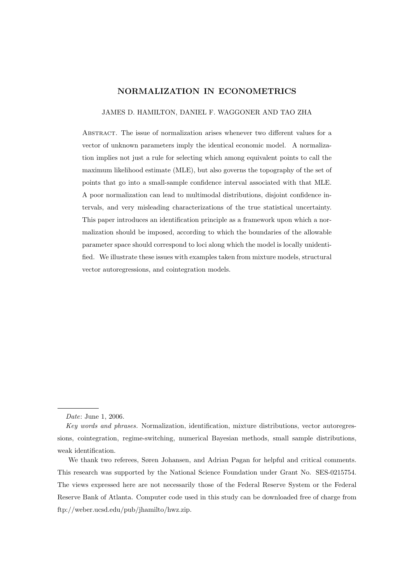# NORMALIZATION IN ECONOMETRICS

### JAMES D. HAMILTON, DANIEL F. WAGGONER AND TAO ZHA

Abstract. The issue of normalization arises whenever two different values for a vector of unknown parameters imply the identical economic model. A normalization implies not just a rule for selecting which among equivalent points to call the maximum likelihood estimate (MLE), but also governs the topography of the set of points that go into a small-sample confidence interval associated with that MLE. A poor normalization can lead to multimodal distributions, disjoint confidence intervals, and very misleading characterizations of the true statistical uncertainty. This paper introduces an identification principle as a framework upon which a normalization should be imposed, according to which the boundaries of the allowable parameter space should correspond to loci along which the model is locally unidentified. We illustrate these issues with examples taken from mixture models, structural vector autoregressions, and cointegration models.

Date: June 1, 2006.

Key words and phrases. Normalization, identification, mixture distributions, vector autoregressions, cointegration, regime-switching, numerical Bayesian methods, small sample distributions, weak identification.

We thank two referees, Søren Johansen, and Adrian Pagan for helpful and critical comments. This research was supported by the National Science Foundation under Grant No. SES-0215754. The views expressed here are not necessarily those of the Federal Reserve System or the Federal Reserve Bank of Atlanta. Computer code used in this study can be downloaded free of charge from ftp://weber.ucsd.edu/pub/jhamilto/hwz.zip.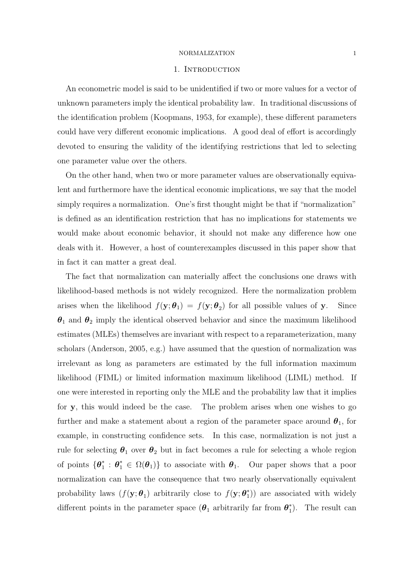#### 1. INTRODUCTION

An econometric model is said to be unidentified if two or more values for a vector of unknown parameters imply the identical probability law. In traditional discussions of the identification problem (Koopmans, 1953, for example), these different parameters could have very different economic implications. A good deal of effort is accordingly devoted to ensuring the validity of the identifying restrictions that led to selecting one parameter value over the others.

On the other hand, when two or more parameter values are observationally equivalent and furthermore have the identical economic implications, we say that the model simply requires a normalization. One's first thought might be that if "normalization" is defined as an identification restriction that has no implications for statements we would make about economic behavior, it should not make any difference how one deals with it. However, a host of counterexamples discussed in this paper show that in fact it can matter a great deal.

The fact that normalization can materially affect the conclusions one draws with likelihood-based methods is not widely recognized. Here the normalization problem arises when the likelihood  $f(\mathbf{y}; \boldsymbol{\theta}_1) = f(\mathbf{y}; \boldsymbol{\theta}_2)$  for all possible values of y. Since  $\theta_1$  and  $\theta_2$  imply the identical observed behavior and since the maximum likelihood estimates (MLEs) themselves are invariant with respect to a reparameterization, many scholars (Anderson, 2005, e.g.) have assumed that the question of normalization was irrelevant as long as parameters are estimated by the full information maximum likelihood (FIML) or limited information maximum likelihood (LIML) method. If one were interested in reporting only the MLE and the probability law that it implies for y, this would indeed be the case. The problem arises when one wishes to go further and make a statement about a region of the parameter space around  $\theta_1$ , for example, in constructing confidence sets. In this case, normalization is not just a rule for selecting  $\theta_1$  over  $\theta_2$  but in fact becomes a rule for selecting a whole region of points  $\{\boldsymbol{\theta}_1^*\}$  $\mathbf{e}_1^*$ :  $\mathbf{\theta}_1^* \in \Omega(\mathbf{\theta}_1)$  to associate with  $\mathbf{\theta}_1$ . Our paper shows that a poor normalization can have the consequence that two nearly observationally equivalent probability laws  $(f(\mathbf{y}; \boldsymbol{\theta}_1))$  arbitrarily close to  $f(\mathbf{y}; \boldsymbol{\theta}_1^*)$ 1 )) are associated with widely different points in the parameter space  $(\boldsymbol{\theta}_1)$  arbitrarily far from  $\boldsymbol{\theta}_1^*$  $_{1}^{*}$ ). The result can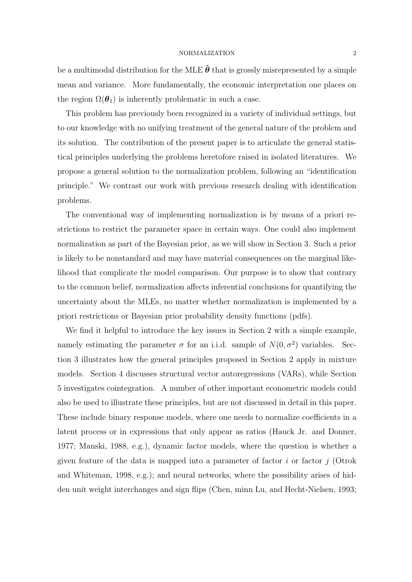be a multimodal distribution for the MLE  $\hat{\theta}$  that is grossly misrepresented by a simple mean and variance. More fundamentally, the economic interpretation one places on the region  $\Omega(\boldsymbol{\theta}_1)$  is inherently problematic in such a case.

This problem has previously been recognized in a variety of individual settings, but to our knowledge with no unifying treatment of the general nature of the problem and its solution. The contribution of the present paper is to articulate the general statistical principles underlying the problems heretofore raised in isolated literatures. We propose a general solution to the normalization problem, following an "identification principle." We contrast our work with previous research dealing with identification problems.

The conventional way of implementing normalization is by means of a priori restrictions to restrict the parameter space in certain ways. One could also implement normalization as part of the Bayesian prior, as we will show in Section 3. Such a prior is likely to be nonstandard and may have material consequences on the marginal likelihood that complicate the model comparison. Our purpose is to show that contrary to the common belief, normalization affects inferential conclusions for quantifying the uncertainty about the MLEs, no matter whether normalization is implemented by a priori restrictions or Bayesian prior probability density functions (pdfs).

We find it helpful to introduce the key issues in Section 2 with a simple example, namely estimating the parameter  $\sigma$  for an i.i.d. sample of  $N(0, \sigma^2)$  variables. Section 3 illustrates how the general principles proposed in Section 2 apply in mixture models. Section 4 discusses structural vector autoregressions (VARs), while Section 5 investigates cointegration. A number of other important econometric models could also be used to illustrate these principles, but are not discussed in detail in this paper. These include binary response models, where one needs to normalize coefficients in a latent process or in expressions that only appear as ratios (Hauck Jr. and Donner, 1977; Manski, 1988, e.g.), dynamic factor models, where the question is whether a given feature of the data is mapped into a parameter of factor i or factor  $j$  (Otrok and Whiteman, 1998, e.g.); and neural networks, where the possibility arises of hidden unit weight interchanges and sign flips (Chen, minn Lu, and Hecht-Nielsen, 1993;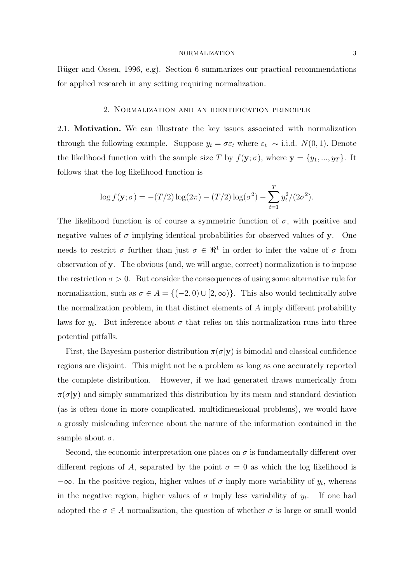Rüger and Ossen, 1996, e.g). Section 6 summarizes our practical recommendations for applied research in any setting requiring normalization.

# 2. Normalization and an identification principle

2.1. Motivation. We can illustrate the key issues associated with normalization through the following example. Suppose  $y_t = \sigma \varepsilon_t$  where  $\varepsilon_t \sim$  i.i.d.  $N(0, 1)$ . Denote the likelihood function with the sample size T by  $f(\mathbf{y}; \sigma)$ , where  $\mathbf{y} = \{y_1, ..., y_T\}$ . It follows that the log likelihood function is

$$
\log f(\mathbf{y}; \sigma) = -(T/2) \log(2\pi) - (T/2) \log(\sigma^2) - \sum_{t=1}^{T} y_t^2 / (2\sigma^2).
$$

The likelihood function is of course a symmetric function of  $\sigma$ , with positive and negative values of  $\sigma$  implying identical probabilities for observed values of y. One needs to restrict  $\sigma$  further than just  $\sigma \in \mathbb{R}^1$  in order to infer the value of  $\sigma$  from observation of y. The obvious (and, we will argue, correct) normalization is to impose the restriction  $\sigma > 0$ . But consider the consequences of using some alternative rule for normalization, such as  $\sigma \in A = \{(-2, 0) \cup [2, \infty)\}\$ . This also would technically solve the normalization problem, in that distinct elements of A imply different probability laws for  $y_t$ . But inference about  $\sigma$  that relies on this normalization runs into three potential pitfalls.

First, the Bayesian posterior distribution  $\pi(\sigma|\mathbf{y})$  is bimodal and classical confidence regions are disjoint. This might not be a problem as long as one accurately reported the complete distribution. However, if we had generated draws numerically from  $\pi(\sigma|\mathbf{y})$  and simply summarized this distribution by its mean and standard deviation (as is often done in more complicated, multidimensional problems), we would have a grossly misleading inference about the nature of the information contained in the sample about  $\sigma$ .

Second, the economic interpretation one places on  $\sigma$  is fundamentally different over different regions of A, separated by the point  $\sigma = 0$  as which the log likelihood is  $-\infty$ . In the positive region, higher values of  $\sigma$  imply more variability of  $y_t$ , whereas in the negative region, higher values of  $\sigma$  imply less variability of  $y_t$ . If one had adopted the  $\sigma \in A$  normalization, the question of whether  $\sigma$  is large or small would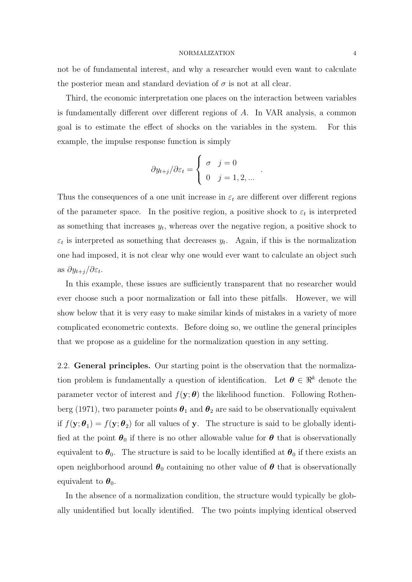not be of fundamental interest, and why a researcher would even want to calculate the posterior mean and standard deviation of  $\sigma$  is not at all clear.

Third, the economic interpretation one places on the interaction between variables is fundamentally different over different regions of A. In VAR analysis, a common goal is to estimate the effect of shocks on the variables in the system. For this example, the impulse response function is simply

$$
\partial y_{t+j}/\partial \varepsilon_t = \begin{cases} \sigma & j = 0 \\ 0 & j = 1, 2, ... \end{cases}
$$

.

Thus the consequences of a one unit increase in  $\varepsilon_t$  are different over different regions of the parameter space. In the positive region, a positive shock to  $\varepsilon_t$  is interpreted as something that increases  $y_t$ , whereas over the negative region, a positive shock to  $\varepsilon_t$  is interpreted as something that decreases  $y_t$ . Again, if this is the normalization one had imposed, it is not clear why one would ever want to calculate an object such as  $\partial y_{t+j}/\partial \varepsilon_t$ .

In this example, these issues are sufficiently transparent that no researcher would ever choose such a poor normalization or fall into these pitfalls. However, we will show below that it is very easy to make similar kinds of mistakes in a variety of more complicated econometric contexts. Before doing so, we outline the general principles that we propose as a guideline for the normalization question in any setting.

2.2. General principles. Our starting point is the observation that the normalization problem is fundamentally a question of identification. Let  $\boldsymbol{\theta} \in \mathbb{R}^k$  denote the parameter vector of interest and  $f(\mathbf{y}; \boldsymbol{\theta})$  the likelihood function. Following Rothenberg (1971), two parameter points  $\theta_1$  and  $\theta_2$  are said to be observationally equivalent if  $f(\mathbf{y}; \boldsymbol{\theta}_1) = f(\mathbf{y}; \boldsymbol{\theta}_2)$  for all values of y. The structure is said to be globally identified at the point  $\theta_0$  if there is no other allowable value for  $\theta$  that is observationally equivalent to  $\theta_0$ . The structure is said to be locally identified at  $\theta_0$  if there exists an open neighborhood around  $\theta_0$  containing no other value of  $\theta$  that is observationally equivalent to  $\boldsymbol{\theta}_0$ .

In the absence of a normalization condition, the structure would typically be globally unidentified but locally identified. The two points implying identical observed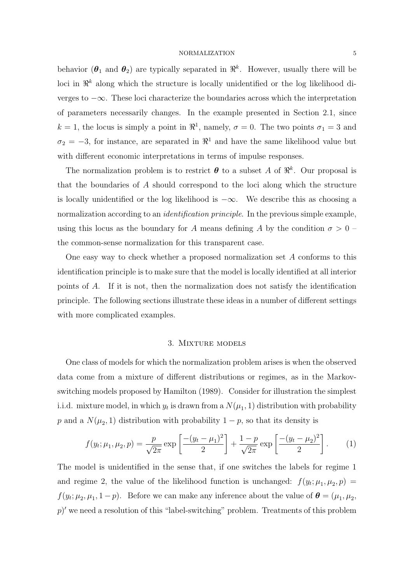behavior ( $\theta_1$  and  $\theta_2$ ) are typically separated in  $\mathbb{R}^k$ . However, usually there will be loci in  $\mathbb{R}^k$  along which the structure is locally unidentified or the log likelihood diverges to −∞. These loci characterize the boundaries across which the interpretation of parameters necessarily changes. In the example presented in Section 2.1, since  $k = 1$ , the locus is simply a point in  $\mathbb{R}^1$ , namely,  $\sigma = 0$ . The two points  $\sigma_1 = 3$  and  $\sigma_2 = -3$ , for instance, are separated in  $\mathbb{R}^1$  and have the same likelihood value but with different economic interpretations in terms of impulse responses.

The normalization problem is to restrict  $\boldsymbol{\theta}$  to a subset A of  $\mathbb{R}^k$ . Our proposal is that the boundaries of A should correspond to the loci along which the structure is locally unidentified or the log likelihood is  $-\infty$ . We describe this as choosing a normalization according to an *identification principle*. In the previous simple example, using this locus as the boundary for A means defining A by the condition  $\sigma > 0$  – the common-sense normalization for this transparent case.

One easy way to check whether a proposed normalization set A conforms to this identification principle is to make sure that the model is locally identified at all interior points of A. If it is not, then the normalization does not satisfy the identification principle. The following sections illustrate these ideas in a number of different settings with more complicated examples.

### 3. Mixture models

One class of models for which the normalization problem arises is when the observed data come from a mixture of different distributions or regimes, as in the Markovswitching models proposed by Hamilton (1989). Consider for illustration the simplest i.i.d. mixture model, in which  $y_t$  is drawn from a  $N(\mu_1, 1)$  distribution with probability p and a  $N(\mu_2, 1)$  distribution with probability  $1 - p$ , so that its density is

$$
f(y_t; \mu_1, \mu_2, p) = \frac{p}{\sqrt{2\pi}} \exp\left[\frac{-(y_t - \mu_1)^2}{2}\right] + \frac{1 - p}{\sqrt{2\pi}} \exp\left[\frac{-(y_t - \mu_2)^2}{2}\right].
$$
 (1)

The model is unidentified in the sense that, if one switches the labels for regime 1 and regime 2, the value of the likelihood function is unchanged:  $f(y_t; \mu_1, \mu_2, p) =$  $f(y_t; \mu_2, \mu_1, 1-p)$ . Before we can make any inference about the value of  $\boldsymbol{\theta} = (\mu_1, \mu_2, \mu_1, 1-p)$ .  $p$ ' we need a resolution of this "label-switching" problem. Treatments of this problem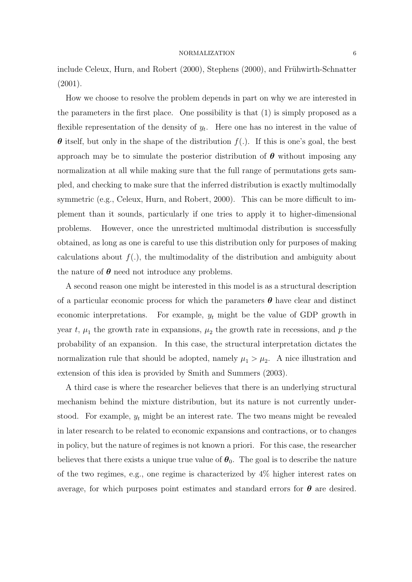include Celeux, Hurn, and Robert (2000), Stephens (2000), and Frühwirth-Schnatter (2001).

How we choose to resolve the problem depends in part on why we are interested in the parameters in the first place. One possibility is that (1) is simply proposed as a flexible representation of the density of  $y_t$ . Here one has no interest in the value of  $\theta$  itself, but only in the shape of the distribution  $f(.)$ . If this is one's goal, the best approach may be to simulate the posterior distribution of  $\theta$  without imposing any normalization at all while making sure that the full range of permutations gets sampled, and checking to make sure that the inferred distribution is exactly multimodally symmetric (e.g., Celeux, Hurn, and Robert, 2000). This can be more difficult to implement than it sounds, particularly if one tries to apply it to higher-dimensional problems. However, once the unrestricted multimodal distribution is successfully obtained, as long as one is careful to use this distribution only for purposes of making calculations about  $f(.)$ , the multimodality of the distribution and ambiguity about the nature of  $\theta$  need not introduce any problems.

A second reason one might be interested in this model is as a structural description of a particular economic process for which the parameters  $\theta$  have clear and distinct economic interpretations. For example,  $y_t$  might be the value of GDP growth in year t,  $\mu_1$  the growth rate in expansions,  $\mu_2$  the growth rate in recessions, and p the probability of an expansion. In this case, the structural interpretation dictates the normalization rule that should be adopted, namely  $\mu_1 > \mu_2$ . A nice illustration and extension of this idea is provided by Smith and Summers (2003).

A third case is where the researcher believes that there is an underlying structural mechanism behind the mixture distribution, but its nature is not currently understood. For example,  $y_t$  might be an interest rate. The two means might be revealed in later research to be related to economic expansions and contractions, or to changes in policy, but the nature of regimes is not known a priori. For this case, the researcher believes that there exists a unique true value of  $\theta_0$ . The goal is to describe the nature of the two regimes, e.g., one regime is characterized by 4% higher interest rates on average, for which purposes point estimates and standard errors for  $\theta$  are desired.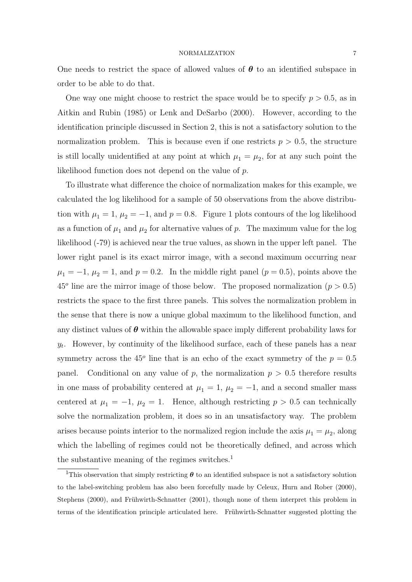One needs to restrict the space of allowed values of  $\theta$  to an identified subspace in order to be able to do that.

One way one might choose to restrict the space would be to specify  $p > 0.5$ , as in Aitkin and Rubin (1985) or Lenk and DeSarbo (2000). However, according to the identification principle discussed in Section 2, this is not a satisfactory solution to the normalization problem. This is because even if one restricts  $p > 0.5$ , the structure is still locally unidentified at any point at which  $\mu_1 = \mu_2$ , for at any such point the likelihood function does not depend on the value of p.

To illustrate what difference the choice of normalization makes for this example, we calculated the log likelihood for a sample of 50 observations from the above distribution with  $\mu_1 = 1$ ,  $\mu_2 = -1$ , and  $p = 0.8$ . Figure 1 plots contours of the log likelihood as a function of  $\mu_1$  and  $\mu_2$  for alternative values of p. The maximum value for the log likelihood (-79) is achieved near the true values, as shown in the upper left panel. The lower right panel is its exact mirror image, with a second maximum occurring near  $\mu_1 = -1, \mu_2 = 1$ , and  $p = 0.2$ . In the middle right panel  $(p = 0.5)$ , points above the  $45^{\circ}$  line are the mirror image of those below. The proposed normalization ( $p > 0.5$ ) restricts the space to the first three panels. This solves the normalization problem in the sense that there is now a unique global maximum to the likelihood function, and any distinct values of  $\theta$  within the allowable space imply different probability laws for  $y_t$ . However, by continuity of the likelihood surface, each of these panels has a near symmetry across the 45<sup> $\degree$ </sup> line that is an echo of the exact symmetry of the  $p = 0.5$ panel. Conditional on any value of p, the normalization  $p > 0.5$  therefore results in one mass of probability centered at  $\mu_1 = 1$ ,  $\mu_2 = -1$ , and a second smaller mass centered at  $\mu_1 = -1$ ,  $\mu_2 = 1$ . Hence, although restricting  $p > 0.5$  can technically solve the normalization problem, it does so in an unsatisfactory way. The problem arises because points interior to the normalized region include the axis  $\mu_1 = \mu_2$ , along which the labelling of regimes could not be theoretically defined, and across which the substantive meaning of the regimes switches.<sup>1</sup>

<sup>&</sup>lt;sup>1</sup>This observation that simply restricting  $\theta$  to an identified subspace is not a satisfactory solution to the label-switching problem has also been forcefully made by Celeux, Hurn and Rober (2000), Stephens (2000), and Frühwirth-Schnatter (2001), though none of them interpret this problem in terms of the identification principle articulated here. Frühwirth-Schnatter suggested plotting the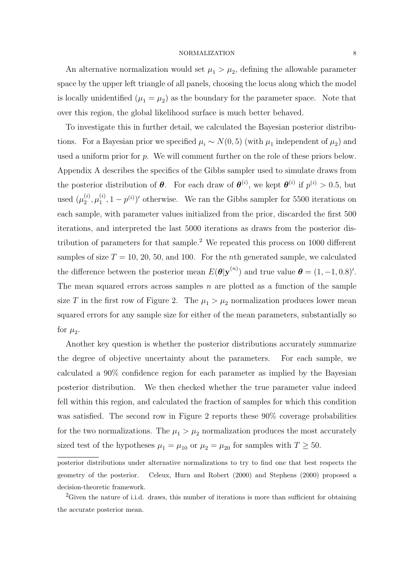An alternative normalization would set  $\mu_1 > \mu_2$ , defining the allowable parameter space by the upper left triangle of all panels, choosing the locus along which the model is locally unidentified  $(\mu_1 = \mu_2)$  as the boundary for the parameter space. Note that over this region, the global likelihood surface is much better behaved.

To investigate this in further detail, we calculated the Bayesian posterior distributions. For a Bayesian prior we specified  $\mu_i \sim N(0, 5)$  (with  $\mu_1$  independent of  $\mu_2$ ) and used a uniform prior for p. We will comment further on the role of these priors below. Appendix A describes the specifics of the Gibbs sampler used to simulate draws from the posterior distribution of  $\theta$ . For each draw of  $\theta^{(i)}$ , we kept  $\theta^{(i)}$  if  $p^{(i)} > 0.5$ , but used  $(\mu_2^{(i)}$  $_2^{(i)},\mu_1^{(i)}$  $\binom{1}{1}$ ,  $1 - p^{(i)}$  otherwise. We ran the Gibbs sampler for 5500 iterations on each sample, with parameter values initialized from the prior, discarded the first 500 iterations, and interpreted the last 5000 iterations as draws from the posterior distribution of parameters for that sample.<sup>2</sup> We repeated this process on  $1000$  different samples of size  $T = 10, 20, 50,$  and 100. For the *n*th generated sample, we calculated the difference between the posterior mean  $E(\theta|\mathbf{y}^{(n)})$  and true value  $\theta = (1, -1, 0.8)^{\prime}$ . The mean squared errors across samples  $n$  are plotted as a function of the sample size T in the first row of Figure 2. The  $\mu_1 > \mu_2$  normalization produces lower mean squared errors for any sample size for either of the mean parameters, substantially so for  $\mu_2$ .

Another key question is whether the posterior distributions accurately summarize the degree of objective uncertainty about the parameters. For each sample, we calculated a 90% confidence region for each parameter as implied by the Bayesian posterior distribution. We then checked whether the true parameter value indeed fell within this region, and calculated the fraction of samples for which this condition was satisfied. The second row in Figure 2 reports these 90% coverage probabilities for the two normalizations. The  $\mu_1 > \mu_2$  normalization produces the most accurately sized test of the hypotheses  $\mu_1 = \mu_{10}$  or  $\mu_2 = \mu_{20}$  for samples with  $T \ge 50$ .

posterior distributions under alternative normalizations to try to find one that best respects the geometry of the posterior. Celeux, Hurn and Robert (2000) and Stephens (2000) proposed a decision-theoretic framework.

<sup>&</sup>lt;sup>2</sup>Given the nature of i.i.d. draws, this number of iterations is more than sufficient for obtaining the accurate posterior mean.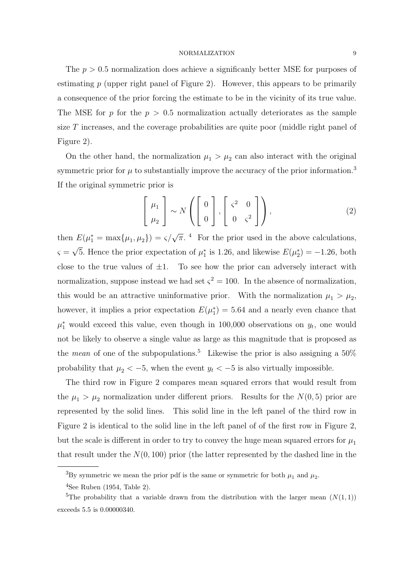The  $p > 0.5$  normalization does achieve a significanly better MSE for purposes of estimating  $p$  (upper right panel of Figure 2). However, this appears to be primarily a consequence of the prior forcing the estimate to be in the vicinity of its true value. The MSE for p for the  $p > 0.5$  normalization actually deteriorates as the sample size T increases, and the coverage probabilities are quite poor (middle right panel of Figure 2).

On the other hand, the normalization  $\mu_1 > \mu_2$  can also interact with the original symmetric prior for  $\mu$  to substantially improve the accuracy of the prior information.<sup>3</sup> If the original symmetric prior is

$$
\left[\begin{array}{c}\mu_1\\\mu_2\end{array}\right] \sim N\left(\left[\begin{array}{c}0\\0\end{array}\right], \left[\begin{array}{cc}\varsigma^2 & 0\\0 & \varsigma^2\end{array}\right]\right),\tag{2}
$$

then  $E(\mu_1^* = \max{\mu_1, \mu_2}) = \varsigma/\sqrt{\pi}$ .<sup>4</sup> For the prior used in the above calculations,  $\varsigma =$ √ 5. Hence the prior expectation of  $\mu_1^*$  is 1.26, and likewise  $E(\mu_2^*) = -1.26$ , both close to the true values of  $\pm 1$ . To see how the prior can adversely interact with normalization, suppose instead we had set  $\zeta^2 = 100$ . In the absence of normalization, this would be an attractive uninformative prior. With the normalization  $\mu_1 > \mu_2$ , however, it implies a prior expectation  $E(\mu_1^*) = 5.64$  and a nearly even chance that  $\mu_1^*$  would exceed this value, even though in 100,000 observations on  $y_t$ , one would not be likely to observe a single value as large as this magnitude that is proposed as the *mean* of one of the subpopulations.<sup>5</sup> Likewise the prior is also assigning a  $50\%$ probability that  $\mu_2 < -5$ , when the event  $y_t < -5$  is also virtually impossible.

The third row in Figure 2 compares mean squared errors that would result from the  $\mu_1 > \mu_2$  normalization under different priors. Results for the  $N(0, 5)$  prior are represented by the solid lines. This solid line in the left panel of the third row in Figure 2 is identical to the solid line in the left panel of of the first row in Figure 2, but the scale is different in order to try to convey the huge mean squared errors for  $\mu_1$ that result under the  $N(0, 100)$  prior (the latter represented by the dashed line in the

<sup>&</sup>lt;sup>3</sup>By symmetric we mean the prior pdf is the same or symmetric for both  $\mu_1$  and  $\mu_2$ .

 $4$ See Ruben (1954, Table 2).

<sup>&</sup>lt;sup>5</sup>The probability that a variable drawn from the distribution with the larger mean  $(N(1, 1))$ exceeds 5.5 is 0.00000340.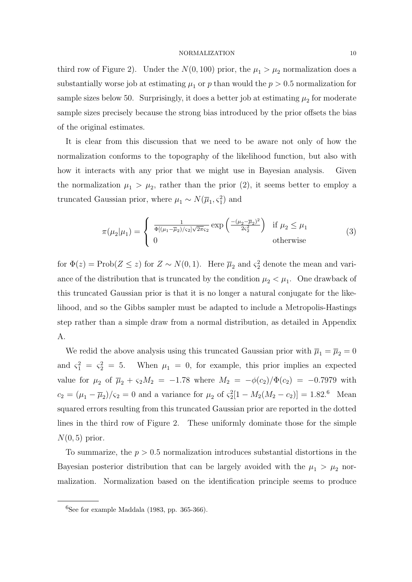third row of Figure 2). Under the  $N(0, 100)$  prior, the  $\mu_1 > \mu_2$  normalization does a substantially worse job at estimating  $\mu_1$  or p than would the  $p > 0.5$  normalization for sample sizes below 50. Surprisingly, it does a better job at estimating  $\mu_2$  for moderate sample sizes precisely because the strong bias introduced by the prior offsets the bias of the original estimates.

It is clear from this discussion that we need to be aware not only of how the normalization conforms to the topography of the likelihood function, but also with how it interacts with any prior that we might use in Bayesian analysis. Given the normalization  $\mu_1 > \mu_2$ , rather than the prior (2), it seems better to employ a truncated Gaussian prior, where  $\mu_1 \sim N(\overline{\mu}_1, \varsigma_1^2)$  and

$$
\pi(\mu_2|\mu_1) = \begin{cases} \frac{1}{\Phi[(\mu_1 - \overline{\mu}_2)/\varsigma_2] \sqrt{2\pi}\varsigma_2} \exp\left(\frac{-(\mu_2 - \overline{\mu}_2)^2}{2\varsigma_2^2}\right) & \text{if } \mu_2 \le \mu_1\\ 0 & \text{otherwise} \end{cases}
$$
(3)

for  $\Phi(z) = \text{Prob}(Z \leq z)$  for  $Z \sim N(0, 1)$ . Here  $\overline{\mu}_2$  and  $\varsigma_2^2$  denote the mean and variance of the distribution that is truncated by the condition  $\mu_2 < \mu_1$ . One drawback of this truncated Gaussian prior is that it is no longer a natural conjugate for the likelihood, and so the Gibbs sampler must be adapted to include a Metropolis-Hastings step rather than a simple draw from a normal distribution, as detailed in Appendix A.

We redid the above analysis using this truncated Gaussian prior with  $\overline{\mu}_1 = \overline{\mu}_2 = 0$ and  $\zeta_1^2 = \zeta_2^2 = 5$ . When  $\mu_1 = 0$ , for example, this prior implies an expected value for  $\mu_2$  of  $\bar{\mu}_2 + \varsigma_2 M_2 = -1.78$  where  $M_2 = -\phi(c_2)/\Phi(c_2) = -0.7979$  with  $c_2 = (\mu_1 - \overline{\mu}_2)/\varsigma_2 = 0$  and a variance for  $\mu_2$  of  $\varsigma_2^2[1 - M_2(M_2 - c_2)] = 1.82$ .<sup>6</sup> Mean squared errors resulting from this truncated Gaussian prior are reported in the dotted lines in the third row of Figure 2. These uniformly dominate those for the simple  $N(0, 5)$  prior.

To summarize, the  $p > 0.5$  normalization introduces substantial distortions in the Bayesian posterior distribution that can be largely avoided with the  $\mu_1 > \mu_2$  normalization. Normalization based on the identification principle seems to produce

 ${}^{6}$ See for example Maddala (1983, pp. 365-366).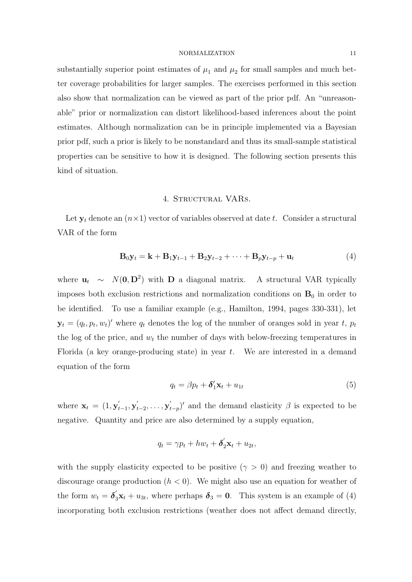substantially superior point estimates of  $\mu_1$  and  $\mu_2$  for small samples and much better coverage probabilities for larger samples. The exercises performed in this section also show that normalization can be viewed as part of the prior pdf. An "unreasonable" prior or normalization can distort likelihood-based inferences about the point estimates. Although normalization can be in principle implemented via a Bayesian prior pdf, such a prior is likely to be nonstandard and thus its small-sample statistical properties can be sensitive to how it is designed. The following section presents this kind of situation.

# 4. STRUCTURAL VARS.

Let  $y_t$  denote an  $(n \times 1)$  vector of variables observed at date t. Consider a structural VAR of the form

$$
\mathbf{B}_0 \mathbf{y}_t = \mathbf{k} + \mathbf{B}_1 \mathbf{y}_{t-1} + \mathbf{B}_2 \mathbf{y}_{t-2} + \dots + \mathbf{B}_p \mathbf{y}_{t-p} + \mathbf{u}_t
$$
\n<sup>(4)</sup>

where  $\mathbf{u}_t \sim N(\mathbf{0}, \mathbf{D}^2)$  with **D** a diagonal matrix. A structural VAR typically imposes both exclusion restrictions and normalization conditions on  $B_0$  in order to be identified. To use a familiar example (e.g., Hamilton, 1994, pages 330-331), let  $\mathbf{y}_t = (q_t, p_t, w_t)'$  where  $q_t$  denotes the log of the number of oranges sold in year t,  $p_t$ the log of the price, and  $w_t$  the number of days with below-freezing temperatures in Florida (a key orange-producing state) in year  $t$ . We are interested in a demand equation of the form

$$
q_t = \beta p_t + \delta'_1 \mathbf{x}_t + u_{1t} \tag{5}
$$

where  $\mathbf{x}_t = (1, \mathbf{y}_t)$  $_{t-1}^{\prime },\mathbf{y}_{t}^{^{\prime }}$  $_{t-2}^{\prime},\ldots,\mathbf{y}_{t}^{\prime}$  $(t_{-p})'$  and the demand elasticity  $\beta$  is expected to be negative. Quantity and price are also determined by a supply equation,

$$
q_t = \gamma p_t + hw_t + \delta'_2 \mathbf{x}_t + u_{2t},
$$

with the supply elasticity expected to be positive  $(\gamma > 0)$  and freezing weather to discourage orange production  $(h < 0)$ . We might also use an equation for weather of the form  $w_t = \delta_3' \mathbf{x}_t + u_{3t}$ , where perhaps  $\delta_3 = 0$ . This system is an example of (4) incorporating both exclusion restrictions (weather does not affect demand directly,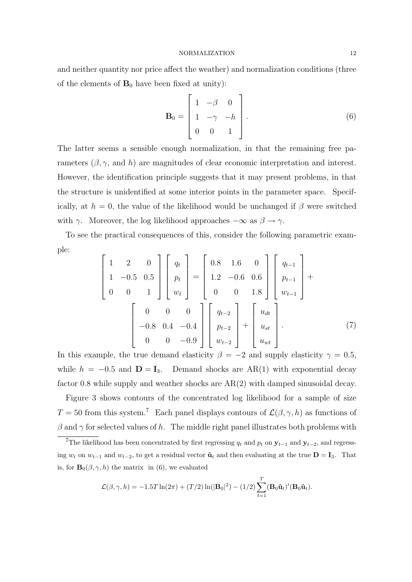and neither quantity nor price affect the weather) and normalization conditions (three of the elements of  $B_0$  have been fixed at unity):

$$
\mathbf{B}_0 = \begin{bmatrix} 1 & -\beta & 0 \\ 1 & -\gamma & -h \\ 0 & 0 & 1 \end{bmatrix} . \tag{6}
$$

The latter seems a sensible enough normalization, in that the remaining free parameters  $(\beta, \gamma, \text{ and } h)$  are magnitudes of clear economic interpretation and interest. However, the identification principle suggests that it may present problems, in that the structure is unidentified at some interior points in the parameter space. Specifically, at  $h = 0$ , the value of the likelihood would be unchanged if  $\beta$  were switched with  $\gamma$ . Moreover, the log likelihood approaches  $-\infty$  as  $\beta \to \gamma$ .

To see the practical consequences of this, consider the following parametric example:  $\overline{r}$  $\overline{a}$  $\overline{r}$  $\overline{a}$  $\overline{r}$  $\overline{a}$  $\overline{r}$  $\overline{a}$ 

$$
\begin{bmatrix} 1 & 2 & 0 \ 1 & -0.5 & 0.5 \ 0 & 0 & 1 \end{bmatrix} \begin{bmatrix} q_t \\ p_t \\ w_t \end{bmatrix} = \begin{bmatrix} 0.8 & 1.6 & 0 \ 1.2 & -0.6 & 0.6 \ 0 & 0 & 1.8 \end{bmatrix} \begin{bmatrix} q_{t-1} \\ p_{t-1} \\ w_{t-1} \end{bmatrix} + \begin{bmatrix} 0 & 0 & 0 \ -0.8 & 0.4 & -0.4 \ 0 & 0 & -0.9 \end{bmatrix} \begin{bmatrix} q_{t-2} \\ p_{t-2} \\ w_{t-2} \end{bmatrix} + \begin{bmatrix} u_{dt} \\ u_{st} \\ u_{wt} \end{bmatrix}.
$$
 (7)

In this example, the true demand elasticity  $\beta = -2$  and supply elasticity  $\gamma = 0.5$ , while  $h = -0.5$  and  $\mathbf{D} = \mathbf{I}_3$ . Demand shocks are AR(1) with exponential decay factor 0.8 while supply and weather shocks are AR(2) with damped sinusoidal decay.

Figure 3 shows contours of the concentrated log likelihood for a sample of size  $T = 50$  from this system.<sup>7</sup> Each panel displays contours of  $\mathcal{L}(\beta, \gamma, h)$  as functions of  $\beta$  and  $\gamma$  for selected values of h. The middle right panel illustrates both problems with

$$
\mathcal{L}(\beta, \gamma, h) = -1.5T \ln(2\pi) + (T/2) \ln(|\mathbf{B}_0|^2) - (1/2) \sum_{t=1}^T (\mathbf{B}_0 \hat{\mathbf{u}}_t)'(\mathbf{B}_0 \hat{\mathbf{u}}_t).
$$

<sup>&</sup>lt;sup>7</sup>The likelihood has been concentrated by first regressing  $q_t$  and  $p_t$  on  $\mathbf{y}_{t-1}$  and  $\mathbf{y}_{t-2}$ , and regressing  $w_t$  on  $w_{t-1}$  and  $w_{t-2}$ , to get a residual vector  $\hat{\mathbf{u}}_t$  and then evaluating at the true  $\mathbf{D} = \mathbf{I}_3$ . That is, for  $\mathbf{B}_{0}(\beta, \gamma, h)$  the matrix in (6), we evaluated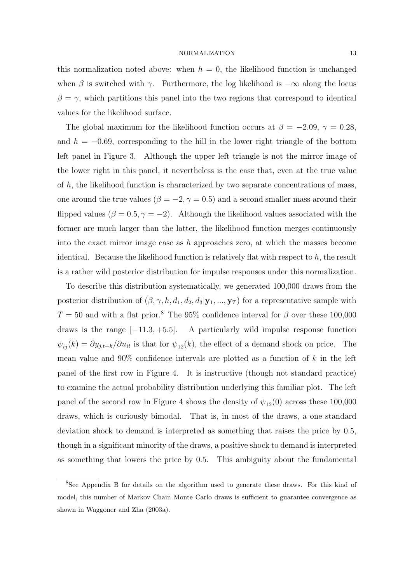this normalization noted above: when  $h = 0$ , the likelihood function is unchanged when  $\beta$  is switched with  $\gamma$ . Furthermore, the log likelihood is  $-\infty$  along the locus  $\beta = \gamma$ , which partitions this panel into the two regions that correspond to identical values for the likelihood surface.

The global maximum for the likelihood function occurs at  $\beta = -2.09, \gamma = 0.28$ , and  $h = -0.69$ , corresponding to the hill in the lower right triangle of the bottom left panel in Figure 3. Although the upper left triangle is not the mirror image of the lower right in this panel, it nevertheless is the case that, even at the true value of  $h$ , the likelihood function is characterized by two separate concentrations of mass, one around the true values ( $\beta = -2, \gamma = 0.5$ ) and a second smaller mass around their flipped values ( $\beta = 0.5, \gamma = -2$ ). Although the likelihood values associated with the former are much larger than the latter, the likelihood function merges continuously into the exact mirror image case as h approaches zero, at which the masses become identical. Because the likelihood function is relatively flat with respect to  $h$ , the result is a rather wild posterior distribution for impulse responses under this normalization.

To describe this distribution systematically, we generated 100,000 draws from the posterior distribution of  $(\beta, \gamma, h, d_1, d_2, d_3 | \mathbf{y}_1, ..., \mathbf{y}_T)$  for a representative sample with  $T = 50$  and with a flat prior.<sup>8</sup> The 95% confidence interval for  $\beta$  over these 100,000 draws is the range  $[-11.3, +5.5]$ . A particularly wild impulse response function  $\psi_{ij}(k) = \partial y_{j,t+k}/\partial u_{it}$  is that for  $\psi_{12}(k)$ , the effect of a demand shock on price. The mean value and  $90\%$  confidence intervals are plotted as a function of k in the left panel of the first row in Figure 4. It is instructive (though not standard practice) to examine the actual probability distribution underlying this familiar plot. The left panel of the second row in Figure 4 shows the density of  $\psi_{12}(0)$  across these 100,000 draws, which is curiously bimodal. That is, in most of the draws, a one standard deviation shock to demand is interpreted as something that raises the price by 0.5, though in a significant minority of the draws, a positive shock to demand is interpreted as something that lowers the price by 0.5. This ambiguity about the fundamental

<sup>8</sup>See Appendix B for details on the algorithm used to generate these draws. For this kind of model, this number of Markov Chain Monte Carlo draws is sufficient to guarantee convergence as shown in Waggoner and Zha (2003a).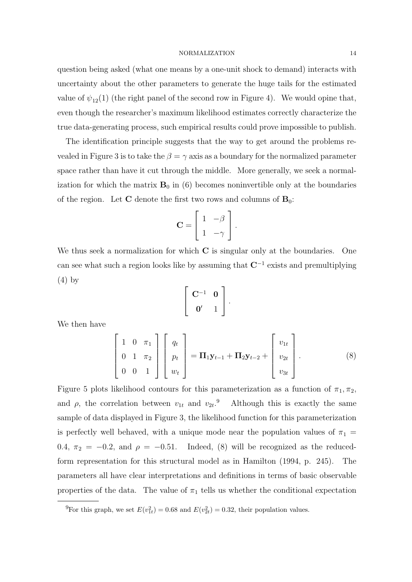question being asked (what one means by a one-unit shock to demand) interacts with uncertainty about the other parameters to generate the huge tails for the estimated value of  $\psi_{12}(1)$  (the right panel of the second row in Figure 4). We would opine that, even though the researcher's maximum likelihood estimates correctly characterize the true data-generating process, such empirical results could prove impossible to publish.

The identification principle suggests that the way to get around the problems revealed in Figure 3 is to take the  $\beta = \gamma$  axis as a boundary for the normalized parameter space rather than have it cut through the middle. More generally, we seek a normalization for which the matrix  $B_0$  in (6) becomes noninvertible only at the boundaries of the region. Let C denote the first two rows and columns of  $B_0$ :

$$
\mathbf{C} = \left[ \begin{array}{cc} 1 & -\beta \\ 1 & -\gamma \end{array} \right].
$$

We thus seek a normalization for which  $C$  is singular only at the boundaries. One can see what such a region looks like by assuming that  $\mathbb{C}^{-1}$  exists and premultiplying (4) by  $\overline{a}$  $\overline{a}$ 

$$
\left[\begin{array}{cc}\nC^{-1} & 0 \\
0' & 1\n\end{array}\right].
$$

We then have

$$
\begin{bmatrix} 1 & 0 & \pi_1 \\ 0 & 1 & \pi_2 \\ 0 & 0 & 1 \end{bmatrix} \begin{bmatrix} q_t \\ p_t \\ w_t \end{bmatrix} = \Pi_1 \mathbf{y}_{t-1} + \Pi_2 \mathbf{y}_{t-2} + \begin{bmatrix} v_{1t} \\ v_{2t} \\ v_{3t} \end{bmatrix}.
$$
 (8)

Figure 5 plots likelihood contours for this parameterization as a function of  $\pi_1, \pi_2$ , and  $\rho$ , the correlation between  $v_{1t}$  and  $v_{2t}$ .<sup>9</sup> Although this is exactly the same sample of data displayed in Figure 3, the likelihood function for this parameterization is perfectly well behaved, with a unique mode near the population values of  $\pi_1$  = 0.4,  $\pi_2 = -0.2$ , and  $\rho = -0.51$ . Indeed, (8) will be recognized as the reducedform representation for this structural model as in Hamilton (1994, p. 245). The parameters all have clear interpretations and definitions in terms of basic observable properties of the data. The value of  $\pi_1$  tells us whether the conditional expectation

<sup>&</sup>lt;sup>9</sup>For this graph, we set  $E(v_{1t}^2) = 0.68$  and  $E(v_{2t}^2) = 0.32$ , their population values.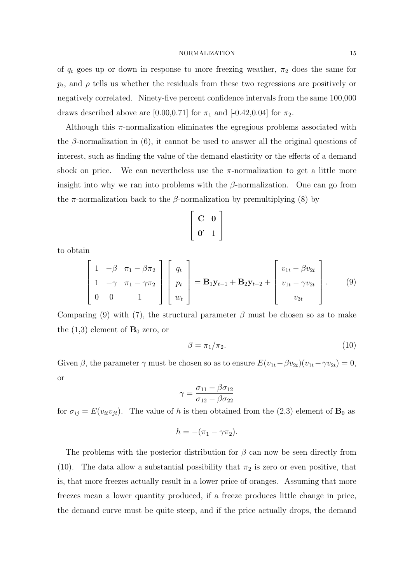of  $q_t$  goes up or down in response to more freezing weather,  $\pi_2$  does the same for  $p_t$ , and  $\rho$  tells us whether the residuals from these two regressions are positively or negatively correlated. Ninety-five percent confidence intervals from the same 100,000 draws described above are [0.00,0.71] for  $\pi_1$  and [-0.42,0.04] for  $\pi_2$ .

Although this  $\pi$ -normalization eliminates the egregious problems associated with the  $\beta$ -normalization in (6), it cannot be used to answer all the original questions of interest, such as finding the value of the demand elasticity or the effects of a demand shock on price. We can nevertheless use the  $\pi$ -normalization to get a little more insight into why we ran into problems with the  $\beta$ -normalization. One can go from the  $\pi$ -normalization back to the  $\beta$ -normalization by premultiplying (8) by

$$
\left[\begin{array}{cc}C&0\\0'&1\end{array}\right]
$$

to obtain

$$
\begin{bmatrix} 1 & -\beta & \pi_1 - \beta \pi_2 \\ 1 & -\gamma & \pi_1 - \gamma \pi_2 \\ 0 & 0 & 1 \end{bmatrix} \begin{bmatrix} q_t \\ p_t \\ w_t \end{bmatrix} = \mathbf{B}_1 \mathbf{y}_{t-1} + \mathbf{B}_2 \mathbf{y}_{t-2} + \begin{bmatrix} v_{1t} - \beta v_{2t} \\ v_{1t} - \gamma v_{2t} \\ v_{3t} \end{bmatrix}.
$$
 (9)

Comparing (9) with (7), the structural parameter  $\beta$  must be chosen so as to make the  $(1,3)$  element of  $\mathbf{B}_0$  zero, or

$$
\beta = \pi_1/\pi_2. \tag{10}
$$

Given  $\beta$ , the parameter  $\gamma$  must be chosen so as to ensure  $E(v_{1t}-\beta v_{2t})(v_{1t}-\gamma v_{2t})=0$ , or

$$
\gamma = \frac{\sigma_{11} - \beta \sigma_{12}}{\sigma_{12} - \beta \sigma_{22}}
$$

for  $\sigma_{ij} = E(v_{it}v_{jt})$ . The value of h is then obtained from the (2,3) element of  $\mathbf{B}_0$  as

$$
h = -(\pi_1 - \gamma \pi_2).
$$

The problems with the posterior distribution for  $\beta$  can now be seen directly from (10). The data allow a substantial possibility that  $\pi_2$  is zero or even positive, that is, that more freezes actually result in a lower price of oranges. Assuming that more freezes mean a lower quantity produced, if a freeze produces little change in price, the demand curve must be quite steep, and if the price actually drops, the demand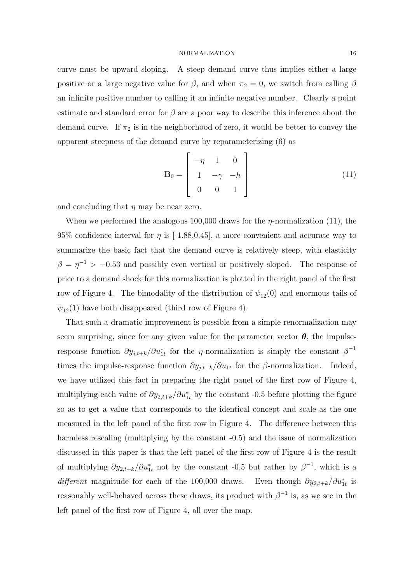curve must be upward sloping. A steep demand curve thus implies either a large positive or a large negative value for  $\beta$ , and when  $\pi_2 = 0$ , we switch from calling  $\beta$ an infinite positive number to calling it an infinite negative number. Clearly a point estimate and standard error for  $\beta$  are a poor way to describe this inference about the demand curve. If  $\pi_2$  is in the neighborhood of zero, it would be better to convey the apparent steepness of the demand curve by reparameterizing (6) as

$$
\mathbf{B}_0 = \begin{bmatrix} -\eta & 1 & 0 \\ 1 & -\gamma & -h \\ 0 & 0 & 1 \end{bmatrix}
$$
 (11)

and concluding that  $\eta$  may be near zero.

When we performed the analogous 100,000 draws for the  $\eta$ -normalization (11), the 95% confidence interval for  $\eta$  is [-1.88,0.45], a more convenient and accurate way to summarize the basic fact that the demand curve is relatively steep, with elasticity  $\beta = \eta^{-1} > -0.53$  and possibly even vertical or positively sloped. The response of price to a demand shock for this normalization is plotted in the right panel of the first row of Figure 4. The bimodality of the distribution of  $\psi_{12}(0)$  and enormous tails of  $\psi_{12}(1)$  have both disappeared (third row of Figure 4).

That such a dramatic improvement is possible from a simple renormalization may seem surprising, since for any given value for the parameter vector  $\theta$ , the impulseresponse function  $\partial y_{j,t+k}/\partial u_{1t}^*$  for the *η*-normalization is simply the constant  $\beta^{-1}$ times the impulse-response function  $\partial y_{j,t+k}/\partial u_{1t}$  for the  $\beta$ -normalization. Indeed, we have utilized this fact in preparing the right panel of the first row of Figure 4, multiplying each value of  $\partial y_{2,t+k}/\partial u_{1t}^*$  by the constant -0.5 before plotting the figure so as to get a value that corresponds to the identical concept and scale as the one measured in the left panel of the first row in Figure 4. The difference between this harmless rescaling (multiplying by the constant -0.5) and the issue of normalization discussed in this paper is that the left panel of the first row of Figure 4 is the result of multiplying  $\partial y_{2,t+k}/\partial u_{1t}^*$  not by the constant -0.5 but rather by  $\beta^{-1}$ , which is a  $differential$  magnitude for each of the 100,000 draws.  $_{1t}^*$  is reasonably well-behaved across these draws, its product with  $\beta^{-1}$  is, as we see in the left panel of the first row of Figure 4, all over the map.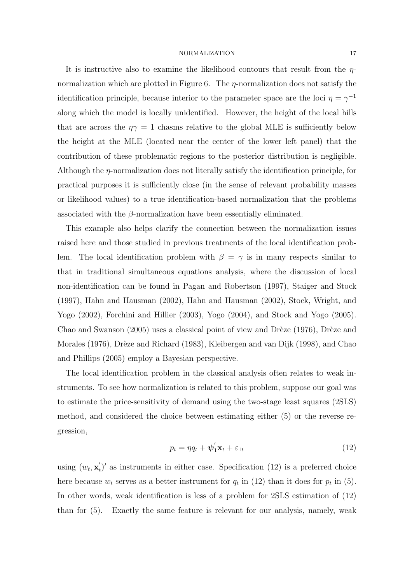It is instructive also to examine the likelihood contours that result from the  $\eta$ normalization which are plotted in Figure 6. The  $\eta$ -normalization does not satisfy the identification principle, because interior to the parameter space are the loci  $\eta = \gamma^{-1}$ along which the model is locally unidentified. However, the height of the local hills that are across the  $\eta\gamma = 1$  chasms relative to the global MLE is sufficiently below the height at the MLE (located near the center of the lower left panel) that the contribution of these problematic regions to the posterior distribution is negligible. Although the  $\eta$ -normalization does not literally satisfy the identification principle, for practical purposes it is sufficiently close (in the sense of relevant probability masses or likelihood values) to a true identification-based normalization that the problems associated with the  $\beta$ -normalization have been essentially eliminated.

This example also helps clarify the connection between the normalization issues raised here and those studied in previous treatments of the local identification problem. The local identification problem with  $\beta = \gamma$  is in many respects similar to that in traditional simultaneous equations analysis, where the discussion of local non-identification can be found in Pagan and Robertson (1997), Staiger and Stock (1997), Hahn and Hausman (2002), Hahn and Hausman (2002), Stock, Wright, and Yogo (2002), Forchini and Hillier (2003), Yogo (2004), and Stock and Yogo (2005). Chao and Swanson  $(2005)$  uses a classical point of view and Drèze  $(1976)$ , Drèze and Morales (1976), Drèze and Richard (1983), Kleibergen and van Dijk (1998), and Chao and Phillips (2005) employ a Bayesian perspective.

The local identification problem in the classical analysis often relates to weak instruments. To see how normalization is related to this problem, suppose our goal was to estimate the price-sensitivity of demand using the two-stage least squares (2SLS) method, and considered the choice between estimating either (5) or the reverse regression,

$$
p_t = \eta q_t + \boldsymbol{\psi}_1^{'} \mathbf{x}_t + \varepsilon_{1t} \tag{12}
$$

using  $(w_t, \mathbf{x}_t)$  $t'$  as instruments in either case. Specification (12) is a preferred choice here because  $w_t$  serves as a better instrument for  $q_t$  in (12) than it does for  $p_t$  in (5). In other words, weak identification is less of a problem for 2SLS estimation of (12) than for (5). Exactly the same feature is relevant for our analysis, namely, weak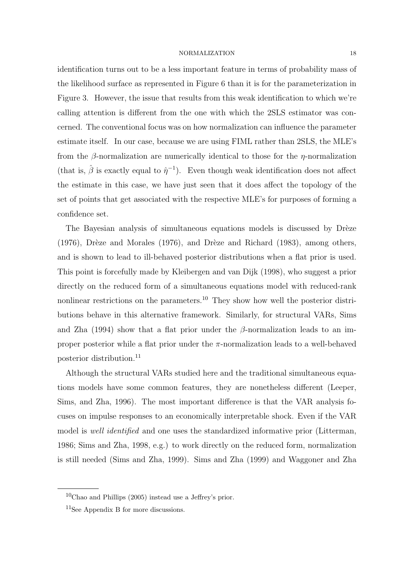identification turns out to be a less important feature in terms of probability mass of the likelihood surface as represented in Figure 6 than it is for the parameterization in Figure 3. However, the issue that results from this weak identification to which we're calling attention is different from the one with which the 2SLS estimator was concerned. The conventional focus was on how normalization can influence the parameter estimate itself. In our case, because we are using FIML rather than 2SLS, the MLE's from the  $\beta$ -normalization are numerically identical to those for the  $\eta$ -normalization (that is,  $\hat{\beta}$  is exactly equal to  $\hat{\eta}^{-1}$ ). Even though weak identification does not affect the estimate in this case, we have just seen that it does affect the topology of the set of points that get associated with the respective MLE's for purposes of forming a confidence set.

The Bayesian analysis of simultaneous equations models is discussed by Drèze  $(1976)$ , Drèze and Morales  $(1976)$ , and Drèze and Richard  $(1983)$ , among others, and is shown to lead to ill-behaved posterior distributions when a flat prior is used. This point is forcefully made by Kleibergen and van Dijk (1998), who suggest a prior directly on the reduced form of a simultaneous equations model with reduced-rank nonlinear restrictions on the parameters.<sup>10</sup> They show how well the posterior distributions behave in this alternative framework. Similarly, for structural VARs, Sims and Zha (1994) show that a flat prior under the  $\beta$ -normalization leads to an improper posterior while a flat prior under the  $\pi$ -normalization leads to a well-behaved posterior distribution.<sup>11</sup>

Although the structural VARs studied here and the traditional simultaneous equations models have some common features, they are nonetheless different (Leeper, Sims, and Zha, 1996). The most important difference is that the VAR analysis focuses on impulse responses to an economically interpretable shock. Even if the VAR model is *well identified* and one uses the standardized informative prior (Litterman, 1986; Sims and Zha, 1998, e.g.) to work directly on the reduced form, normalization is still needed (Sims and Zha, 1999). Sims and Zha (1999) and Waggoner and Zha

 $10$ Chao and Phillips (2005) instead use a Jeffrey's prior.

<sup>11</sup>See Appendix B for more discussions.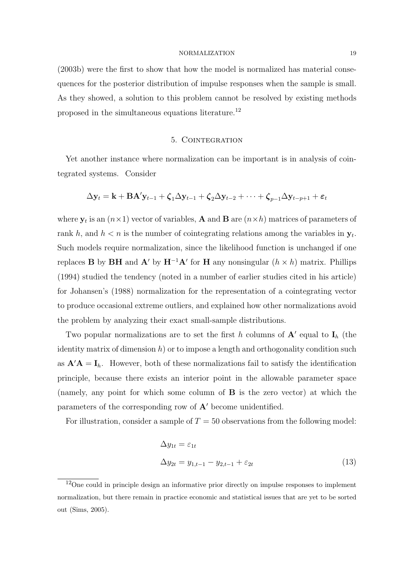(2003b) were the first to show that how the model is normalized has material consequences for the posterior distribution of impulse responses when the sample is small. As they showed, a solution to this problem cannot be resolved by existing methods proposed in the simultaneous equations literature.<sup>12</sup>

# 5. Cointegration

Yet another instance where normalization can be important is in analysis of cointegrated systems. Consider

$$
\Delta \mathbf{y}_t = \mathbf{k} + \mathbf{B} \mathbf{A}' \mathbf{y}_{t-1} + \boldsymbol{\zeta}_1 \Delta \mathbf{y}_{t-1} + \boldsymbol{\zeta}_2 \Delta \mathbf{y}_{t-2} + \cdots + \boldsymbol{\zeta}_{p-1} \Delta \mathbf{y}_{t-p+1} + \boldsymbol{\varepsilon}_t
$$

where  $y_t$  is an  $(n \times 1)$  vector of variables, A and B are  $(n \times h)$  matrices of parameters of rank h, and  $h < n$  is the number of cointegrating relations among the variables in  $y_t$ . Such models require normalization, since the likelihood function is unchanged if one replaces **B** by **BH** and **A'** by  $H^{-1}A'$  for **H** any nonsingular  $(h \times h)$  matrix. Phillips (1994) studied the tendency (noted in a number of earlier studies cited in his article) for Johansen's (1988) normalization for the representation of a cointegrating vector to produce occasional extreme outliers, and explained how other normalizations avoid the problem by analyzing their exact small-sample distributions.

Two popular normalizations are to set the first h columns of  $A'$  equal to  $I_h$  (the identity matrix of dimension  $h$ ) or to impose a length and orthogonality condition such as  $\mathbf{A}'\mathbf{A} = \mathbf{I}_h$ . However, both of these normalizations fail to satisfy the identification principle, because there exists an interior point in the allowable parameter space (namely, any point for which some column of B is the zero vector) at which the parameters of the corresponding row of  $A'$  become unidentified.

For illustration, consider a sample of  $T = 50$  observations from the following model:

$$
\Delta y_{1t} = \varepsilon_{1t}
$$
  
\n
$$
\Delta y_{2t} = y_{1,t-1} - y_{2,t-1} + \varepsilon_{2t}
$$
\n(13)

<sup>&</sup>lt;sup>12</sup>One could in principle design an informative prior directly on impulse responses to implement normalization, but there remain in practice economic and statistical issues that are yet to be sorted out (Sims, 2005).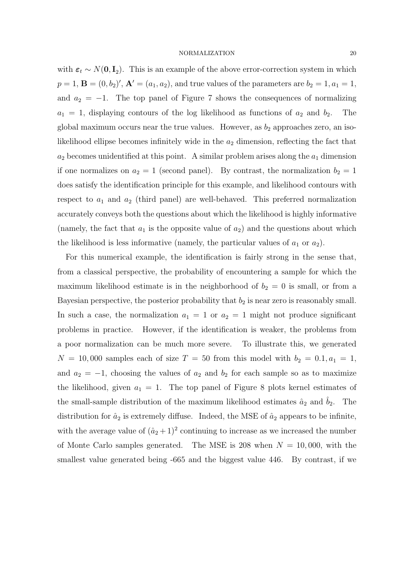with  $\varepsilon_t \sim N(\mathbf{0}, \mathbf{I}_2)$ . This is an example of the above error-correction system in which  $p = 1, B = (0, b_2)'$ ,  $A' = (a_1, a_2)$ , and true values of the parameters are  $b_2 = 1, a_1 = 1$ , and  $a_2 = -1$ . The top panel of Figure 7 shows the consequences of normalizing  $a_1 = 1$ , displaying contours of the log likelihood as functions of  $a_2$  and  $b_2$ . The global maximum occurs near the true values. However, as  $b_2$  approaches zero, an isolikelihood ellipse becomes infinitely wide in the  $a_2$  dimension, reflecting the fact that  $a_2$  becomes unidentified at this point. A similar problem arises along the  $a_1$  dimension if one normalizes on  $a_2 = 1$  (second panel). By contrast, the normalization  $b_2 = 1$ does satisfy the identification principle for this example, and likelihood contours with respect to  $a_1$  and  $a_2$  (third panel) are well-behaved. This preferred normalization accurately conveys both the questions about which the likelihood is highly informative (namely, the fact that  $a_1$  is the opposite value of  $a_2$ ) and the questions about which the likelihood is less informative (namely, the particular values of  $a_1$  or  $a_2$ ).

For this numerical example, the identification is fairly strong in the sense that, from a classical perspective, the probability of encountering a sample for which the maximum likelihood estimate is in the neighborhood of  $b_2 = 0$  is small, or from a Bayesian perspective, the posterior probability that  $b_2$  is near zero is reasonably small. In such a case, the normalization  $a_1 = 1$  or  $a_2 = 1$  might not produce significant problems in practice. However, if the identification is weaker, the problems from a poor normalization can be much more severe. To illustrate this, we generated  $N = 10,000$  samples each of size  $T = 50$  from this model with  $b<sub>2</sub> = 0.1, a<sub>1</sub> = 1$ , and  $a_2 = -1$ , choosing the values of  $a_2$  and  $b_2$  for each sample so as to maximize the likelihood, given  $a_1 = 1$ . The top panel of Figure 8 plots kernel estimates of the small-sample distribution of the maximum likelihood estimates  $\hat{a}_2$  and  $\hat{b}_2$ . The distribution for  $\hat{a}_2$  is extremely diffuse. Indeed, the MSE of  $\hat{a}_2$  appears to be infinite, with the average value of  $(\hat{a}_2 + 1)^2$  continuing to increase as we increased the number of Monte Carlo samples generated. The MSE is 208 when  $N = 10,000$ , with the smallest value generated being -665 and the biggest value 446. By contrast, if we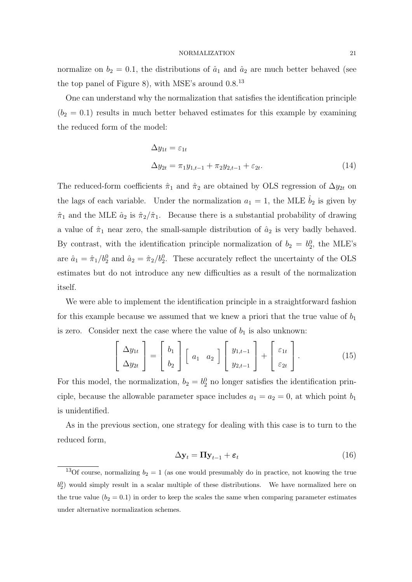normalize on  $b_2 = 0.1$ , the distributions of  $\hat{a}_1$  and  $\hat{a}_2$  are much better behaved (see the top panel of Figure 8), with MSE's around  $0.8^{13}$ 

One can understand why the normalization that satisfies the identification principle  $(b_2 = 0.1)$  results in much better behaved estimates for this example by examining the reduced form of the model:

$$
\Delta y_{1t} = \varepsilon_{1t}
$$
  
\n
$$
\Delta y_{2t} = \pi_1 y_{1,t-1} + \pi_2 y_{2,t-1} + \varepsilon_{2t}.
$$
\n(14)

The reduced-form coefficients  $\hat{\pi}_1$  and  $\hat{\pi}_2$  are obtained by OLS regression of  $\Delta y_{2t}$  on the lags of each variable. Under the normalization  $a_1 = 1$ , the MLE  $b_2$  is given by  $\hat{\pi}_1$  and the MLE  $\hat{a}_2$  is  $\hat{\pi}_2/\hat{\pi}_1$ . Because there is a substantial probability of drawing a value of  $\hat{\pi}_1$  near zero, the small-sample distribution of  $\hat{a}_2$  is very badly behaved. By contrast, with the identification principle normalization of  $b_2 = b_2^0$ , the MLE's are  $\hat{a}_1 = \hat{\pi}_1/b_2^0$  and  $\hat{a}_2 = \hat{\pi}_2/b_2^0$ . These accurately reflect the uncertainty of the OLS estimates but do not introduce any new difficulties as a result of the normalization itself.

We were able to implement the identification principle in a straightforward fashion for this example because we assumed that we knew a priori that the true value of  $b_1$ is zero. Consider next the case where the value of  $b_1$  is also unknown:

$$
\left[\begin{array}{c}\Delta y_{1t} \\ \Delta y_{2t}\end{array}\right] = \left[\begin{array}{c}b_1 \\ b_2\end{array}\right] \left[\begin{array}{cc}a_1 & a_2\end{array}\right] \left[\begin{array}{c}y_{1,t-1} \\ y_{2,t-1}\end{array}\right] + \left[\begin{array}{c}\varepsilon_{1t} \\ \varepsilon_{2t}\end{array}\right].
$$
 (15)

For this model, the normalization,  $b_2 = b_2^0$  no longer satisfies the identification principle, because the allowable parameter space includes  $a_1 = a_2 = 0$ , at which point  $b_1$ is unidentified.

As in the previous section, one strategy for dealing with this case is to turn to the reduced form,

$$
\Delta \mathbf{y}_t = \Pi \mathbf{y}_{t-1} + \boldsymbol{\varepsilon}_t \tag{16}
$$

<sup>&</sup>lt;sup>13</sup>Of course, normalizing  $b_2 = 1$  (as one would presumably do in practice, not knowing the true  $b_2^0$ ) would simply result in a scalar multiple of these distributions. We have normalized here on the true value  $(b_2 = 0.1)$  in order to keep the scales the same when comparing parameter estimates under alternative normalization schemes.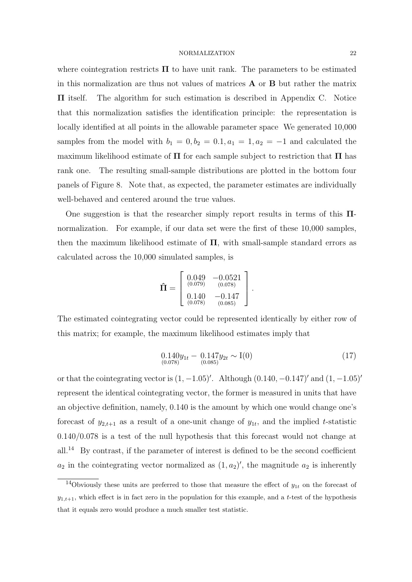where cointegration restricts  $\Pi$  to have unit rank. The parameters to be estimated in this normalization are thus not values of matrices  $\bf{A}$  or  $\bf{B}$  but rather the matrix Π itself. The algorithm for such estimation is described in Appendix C. Notice that this normalization satisfies the identification principle: the representation is locally identified at all points in the allowable parameter space We generated 10,000 samples from the model with  $b_1 = 0, b_2 = 0.1, a_1 = 1, a_2 = -1$  and calculated the maximum likelihood estimate of  $\Pi$  for each sample subject to restriction that  $\Pi$  has rank one. The resulting small-sample distributions are plotted in the bottom four panels of Figure 8. Note that, as expected, the parameter estimates are individually well-behaved and centered around the true values.

One suggestion is that the researcher simply report results in terms of this Πnormalization. For example, if our data set were the first of these 10,000 samples, then the maximum likelihood estimate of  $\Pi$ , with small-sample standard errors as calculated across the 10,000 simulated samples, is

$$
\hat{\mathbf{\Pi}} = \left[ \begin{array}{cc} 0.049 & -0.0521 \\ {}^{(0.079)} & {}^{(0.078)} \\ {}^{0.140} & -0.147 \\ {}^{(0.078)} & {}^{(0.085)} \end{array} \right].
$$

The estimated cointegrating vector could be represented identically by either row of this matrix; for example, the maximum likelihood estimates imply that

$$
0.140y_{1t} - 0.147y_{2t} \sim I(0)
$$
  

$$
0.078)^{0.078}
$$
 (17)

or that the cointegrating vector is  $(1, -1.05)$ . Although  $(0.140, -0.147)$  and  $(1, -1.05)$ ' represent the identical cointegrating vector, the former is measured in units that have an objective definition, namely, 0.140 is the amount by which one would change one's forecast of  $y_{2,t+1}$  as a result of a one-unit change of  $y_{1t}$ , and the implied t-statistic  $0.140/0.078$  is a test of the null hypothesis that this forecast would not change at all.<sup>14</sup> By contrast, if the parameter of interest is defined to be the second coefficient  $a_2$  in the cointegrating vector normalized as  $(1, a_2)'$ , the magnitude  $a_2$  is inherently

<sup>&</sup>lt;sup>14</sup>Obviously these units are preferred to those that measure the effect of  $y_{1t}$  on the forecast of  $y_{1,t+1}$ , which effect is in fact zero in the population for this example, and a t-test of the hypothesis that it equals zero would produce a much smaller test statistic.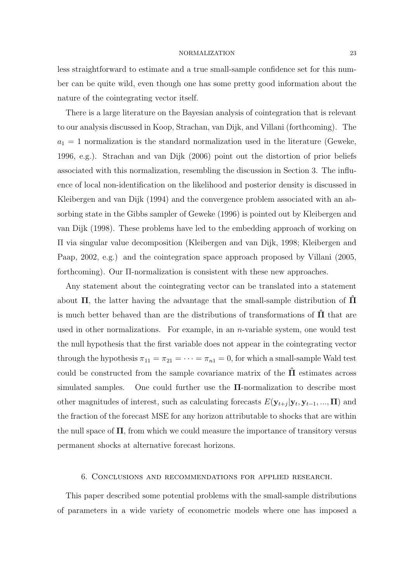less straightforward to estimate and a true small-sample confidence set for this number can be quite wild, even though one has some pretty good information about the nature of the cointegrating vector itself.

There is a large literature on the Bayesian analysis of cointegration that is relevant to our analysis discussed in Koop, Strachan, van Dijk, and Villani (forthcoming). The  $a_1 = 1$  normalization is the standard normalization used in the literature (Geweke, 1996, e.g.). Strachan and van Dijk (2006) point out the distortion of prior beliefs associated with this normalization, resembling the discussion in Section 3. The influence of local non-identification on the likelihood and posterior density is discussed in Kleibergen and van Dijk (1994) and the convergence problem associated with an absorbing state in the Gibbs sampler of Geweke (1996) is pointed out by Kleibergen and van Dijk (1998). These problems have led to the embedding approach of working on Π via singular value decomposition (Kleibergen and van Dijk, 1998; Kleibergen and Paap, 2002, e.g.) and the cointegration space approach proposed by Villani (2005, forthcoming). Our Π-normalization is consistent with these new approaches.

Any statement about the cointegrating vector can be translated into a statement about  $\Pi$ , the latter having the advantage that the small-sample distribution of  $\Pi$ is much better behaved than are the distributions of transformations of  $\Pi$  that are used in other normalizations. For example, in an *n*-variable system, one would test the null hypothesis that the first variable does not appear in the cointegrating vector through the hypothesis  $\pi_{11} = \pi_{21} = \cdots = \pi_{n1} = 0$ , for which a small-sample Wald test could be constructed from the sample covariance matrix of the  $\Pi$  estimates across simulated samples. One could further use the  $\Pi$ -normalization to describe most other magnitudes of interest, such as calculating forecasts  $E(\mathbf{y}_{t+j}|\mathbf{y}_t, \mathbf{y}_{t-1}, ..., \mathbf{\Pi})$  and the fraction of the forecast MSE for any horizon attributable to shocks that are within the null space of  $\Pi$ , from which we could measure the importance of transitory versus permanent shocks at alternative forecast horizons.

#### 6. Conclusions and recommendations for applied research.

This paper described some potential problems with the small-sample distributions of parameters in a wide variety of econometric models where one has imposed a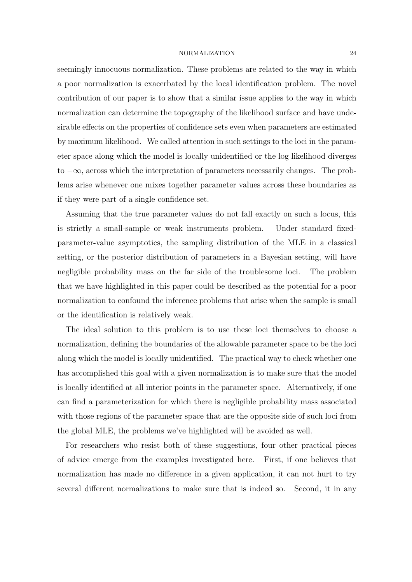seemingly innocuous normalization. These problems are related to the way in which a poor normalization is exacerbated by the local identification problem. The novel contribution of our paper is to show that a similar issue applies to the way in which normalization can determine the topography of the likelihood surface and have undesirable effects on the properties of confidence sets even when parameters are estimated by maximum likelihood. We called attention in such settings to the loci in the parameter space along which the model is locally unidentified or the log likelihood diverges to  $-\infty$ , across which the interpretation of parameters necessarily changes. The problems arise whenever one mixes together parameter values across these boundaries as if they were part of a single confidence set.

Assuming that the true parameter values do not fall exactly on such a locus, this is strictly a small-sample or weak instruments problem. Under standard fixedparameter-value asymptotics, the sampling distribution of the MLE in a classical setting, or the posterior distribution of parameters in a Bayesian setting, will have negligible probability mass on the far side of the troublesome loci. The problem that we have highlighted in this paper could be described as the potential for a poor normalization to confound the inference problems that arise when the sample is small or the identification is relatively weak.

The ideal solution to this problem is to use these loci themselves to choose a normalization, defining the boundaries of the allowable parameter space to be the loci along which the model is locally unidentified. The practical way to check whether one has accomplished this goal with a given normalization is to make sure that the model is locally identified at all interior points in the parameter space. Alternatively, if one can find a parameterization for which there is negligible probability mass associated with those regions of the parameter space that are the opposite side of such loci from the global MLE, the problems we've highlighted will be avoided as well.

For researchers who resist both of these suggestions, four other practical pieces of advice emerge from the examples investigated here. First, if one believes that normalization has made no difference in a given application, it can not hurt to try several different normalizations to make sure that is indeed so. Second, it in any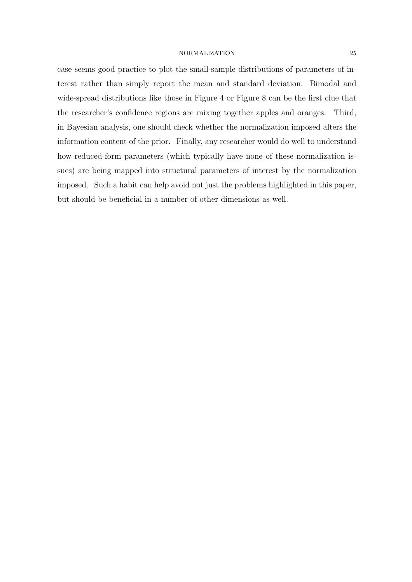case seems good practice to plot the small-sample distributions of parameters of interest rather than simply report the mean and standard deviation. Bimodal and wide-spread distributions like those in Figure 4 or Figure 8 can be the first clue that the researcher's confidence regions are mixing together apples and oranges. Third, in Bayesian analysis, one should check whether the normalization imposed alters the information content of the prior. Finally, any researcher would do well to understand how reduced-form parameters (which typically have none of these normalization issues) are being mapped into structural parameters of interest by the normalization imposed. Such a habit can help avoid not just the problems highlighted in this paper, but should be beneficial in a number of other dimensions as well.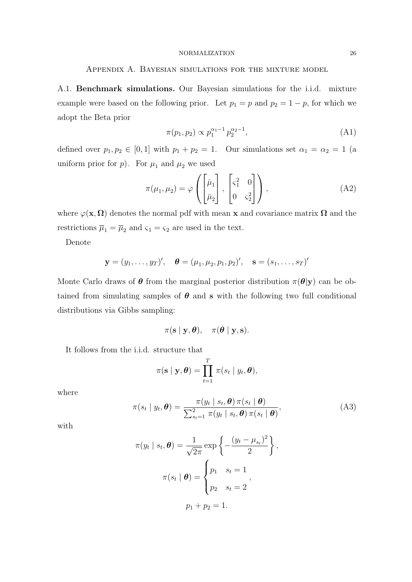# Appendix A. Bayesian simulations for the mixture model

A.1. Benchmark simulations. Our Bayesian simulations for the i.i.d. mixture example were based on the following prior. Let  $p_1 = p$  and  $p_2 = 1 - p$ , for which we adopt the Beta prior

$$
\pi(p_1, p_2) \propto p_1^{\alpha_1 - 1} p_2^{\alpha_2 - 1},\tag{A1}
$$

defined over  $p_1, p_2 \in [0, 1]$  with  $p_1 + p_2 = 1$ . Our simulations set  $\alpha_1 = \alpha_2 = 1$  (a uniform prior for  $p$ ). For  $\mu_1$  and  $\mu_2$  we used

$$
\pi(\mu_1, \mu_2) = \varphi\left(\begin{bmatrix} \bar{\mu}_1 \\ \bar{\mu}_2 \end{bmatrix}, \begin{bmatrix} \varsigma_1^2 & 0 \\ 0 & \varsigma_2^2 \end{bmatrix}\right),\tag{A2}
$$

where  $\varphi(\mathbf{x}, \mathbf{\Omega})$  denotes the normal pdf with mean x and covariance matrix  $\mathbf{\Omega}$  and the restrictions  $\overline{\mu}_1 = \overline{\mu}_2$  and  $\varsigma_1 = \varsigma_2$  are used in the text.

Denote

$$
\mathbf{y} = (y_1, \ldots, y_T)'
$$
,  $\mathbf{\theta} = (\mu_1, \mu_2, p_1, p_2)'$ ,  $\mathbf{s} = (s_1, \ldots, s_T)'$ 

Monte Carlo draws of  $\theta$  from the marginal posterior distribution  $\pi(\theta|\mathbf{y})$  can be obtained from simulating samples of  $\theta$  and s with the following two full conditional distributions via Gibbs sampling:

$$
\pi(\mathbf{s} \mid \mathbf{y}, \boldsymbol{\theta}), \quad \pi(\boldsymbol{\theta} \mid \mathbf{y}, \mathbf{s}).
$$

It follows from the i.i.d. structure that

$$
\pi(\mathbf{s} \mid \mathbf{y}, \boldsymbol{\theta}) = \prod_{t=1}^T \pi(s_t \mid y_t, \boldsymbol{\theta}),
$$

where

$$
\pi(s_t \mid y_t, \boldsymbol{\theta}) = \frac{\pi(y_t \mid s_t, \boldsymbol{\theta}) \pi(s_t \mid \boldsymbol{\theta})}{\sum_{s_t=1}^2 \pi(y_t \mid s_t, \boldsymbol{\theta}) \pi(s_t \mid \boldsymbol{\theta})},
$$
(A3)

with

$$
\pi(y_t \mid s_t, \boldsymbol{\theta}) = \frac{1}{\sqrt{2\pi}} \exp\left\{-\frac{(y_t - \mu_{s_t})^2}{2}\right\},
$$

$$
\pi(s_t \mid \boldsymbol{\theta}) = \begin{cases} p_1 & s_t = 1 \\ p_2 & s_t = 2 \end{cases},
$$

$$
p_1 + p_2 = 1.
$$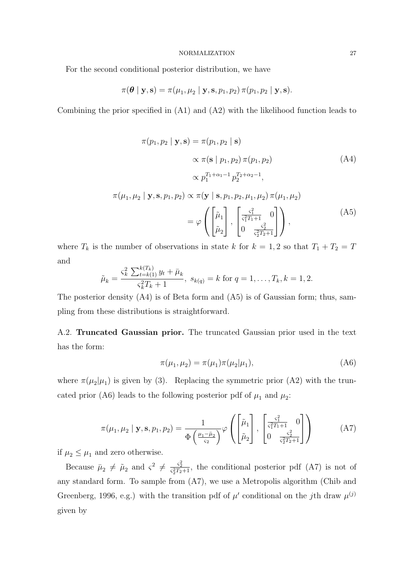For the second conditional posterior distribution, we have

$$
\pi(\boldsymbol{\theta} \mid \mathbf{y}, \mathbf{s}) = \pi(\mu_1, \mu_2 \mid \mathbf{y}, \mathbf{s}, p_1, p_2) \pi(p_1, p_2 \mid \mathbf{y}, \mathbf{s}).
$$

Combining the prior specified in (A1) and (A2) with the likelihood function leads to

$$
\pi(p_1, p_2 | \mathbf{y}, \mathbf{s}) = \pi(p_1, p_2 | \mathbf{s})
$$
  
\n
$$
\propto \pi(\mathbf{s} | p_1, p_2) \pi(p_1, p_2)
$$
 (A4)  
\n
$$
\propto p_1^{T_1 + \alpha_1 - 1} p_2^{T_2 + \alpha_2 - 1},
$$
  
\n
$$
\pi(\mu_1, \mu_2 | \mathbf{y}, \mathbf{s}, p_1, p_2) \propto \pi(\mathbf{y} | \mathbf{s}, p_1, p_2, \mu_1, \mu_2) \pi(\mu_1, \mu_2)
$$
  
\n
$$
= \varphi \left( \begin{bmatrix} \tilde{\mu}_1 \\ \tilde{\mu}_2 \end{bmatrix}, \begin{bmatrix} \frac{\varsigma_1^2}{\varsigma_1^2 T_1 + 1} & 0 \\ 0 & \frac{\varsigma_2^2}{\varsigma_2^2 T_2 + 1} \end{bmatrix} \right),
$$
 (A5)

where  $T_k$  is the number of observations in state k for  $k = 1, 2$  so that  $T_1 + T_2 = T$ and

$$
\tilde{\mu}_k = \frac{\varsigma_k^2 \sum_{t=k(1)}^{k(T_k)} y_t + \bar{\mu}_k}{\varsigma_k^2 T_k + 1}, \ s_{k(q)} = k \text{ for } q = 1, \dots, T_k, k = 1, 2.
$$

The posterior density (A4) is of Beta form and (A5) is of Gaussian form; thus, sampling from these distributions is straightforward.

A.2. Truncated Gaussian prior. The truncated Gaussian prior used in the text has the form:

$$
\pi(\mu_1, \mu_2) = \pi(\mu_1)\pi(\mu_2|\mu_1),\tag{A6}
$$

where  $\pi(\mu_2|\mu_1)$  is given by (3). Replacing the symmetric prior (A2) with the truncated prior (A6) leads to the following posterior pdf of  $\mu_1$  and  $\mu_2$ :

$$
\pi(\mu_1, \mu_2 \mid \mathbf{y}, \mathbf{s}, p_1, p_2) = \frac{1}{\Phi\left(\frac{\mu_1 - \bar{\mu}_2}{\varsigma_2}\right)} \varphi\left(\begin{bmatrix} \tilde{\mu}_1\\ \tilde{\mu}_2 \end{bmatrix}, \begin{bmatrix} \frac{\varsigma_1^2}{\varsigma_1^2 T_1 + 1} & 0\\ 0 & \frac{\varsigma_2^2}{\varsigma_2^2 T_2 + 1} \end{bmatrix}\right)
$$
(A7)

if  $\mu_2 \leq \mu_1$  and zero otherwise.

Because  $\bar{\mu}_2 \neq \tilde{\mu}_2$  and  $\zeta^2 \neq \frac{\zeta_2^2}{\zeta_2^2T_2+1}$ , the conditional posterior pdf (A7) is not of any standard form. To sample from (A7), we use a Metropolis algorithm (Chib and Greenberg, 1996, e.g.) with the transition pdf of  $\mu'$  conditional on the jth draw  $\mu^{(j)}$ given by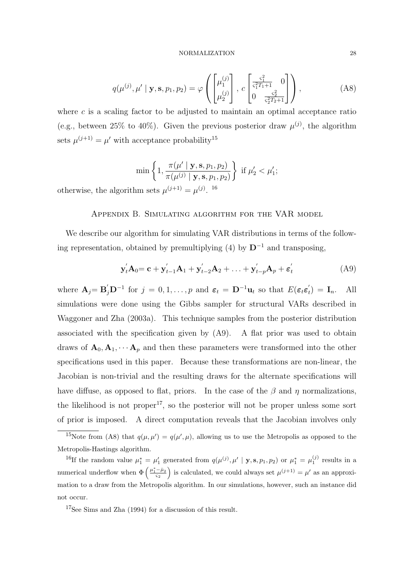$$
q(\mu^{(j)}, \mu' \mid \mathbf{y}, \mathbf{s}, p_1, p_2) = \varphi \left( \begin{bmatrix} \mu_1^{(j)} \\ \mu_2^{(j)} \end{bmatrix}, c \begin{bmatrix} \frac{\varsigma_1^2}{\varsigma_1^2 T_1 + 1} & 0 \\ 0 & \frac{\varsigma_2^2}{\varsigma_2^2 T_2 + 1} \end{bmatrix} \right),
$$
 (A8)

where  $c$  is a scaling factor to be adjusted to maintain an optimal acceptance ratio (e.g., between 25% to 40%). Given the previous posterior draw  $\mu^{(j)}$ , the algorithm sets  $\mu^{(j+1)} = \mu'$  with acceptance probability<sup>15</sup>

$$
\min\left\{1,\frac{\pi(\mu'\mid \mathbf{y}, \mathbf{s}, p_1, p_2)}{\pi(\mu^{(j)}\mid \mathbf{y}, \mathbf{s}, p_1, p_2)}\right\} \text{ if } \mu'_2 < \mu'_1;
$$

otherwise, the algorithm sets  $\mu^{(j+1)} = \mu^{(j)}$ . <sup>16</sup>

## Appendix B. Simulating algorithm for the VAR model

We describe our algorithm for simulating VAR distributions in terms of the following representation, obtained by premultiplying (4) by  $D^{-1}$  and transposing,

$$
\mathbf{y}'_t \mathbf{A}_0 = \mathbf{c} + \mathbf{y}'_{t-1} \mathbf{A}_1 + \mathbf{y}'_{t-2} \mathbf{A}_2 + \ldots + \mathbf{y}'_{t-p} \mathbf{A}_p + \boldsymbol{\varepsilon}'_t
$$
 (A9)

where  $\mathbf{A}_j = \mathbf{B}_j' \mathbf{D}^{-1}$  for  $j = 0, 1, \ldots, p$  and  $\boldsymbol{\varepsilon}_t = \mathbf{D}^{-1} \mathbf{u}_t$  so that  $E(\boldsymbol{\varepsilon}_t \boldsymbol{\varepsilon}_t')$  $t<sub>t</sub>$ ) =  $\mathbf{I}<sub>n</sub>$ . All simulations were done using the Gibbs sampler for structural VARs described in Waggoner and Zha (2003a). This technique samples from the posterior distribution associated with the specification given by (A9). A flat prior was used to obtain draws of  $\mathbf{A}_0, \mathbf{A}_1, \cdots, \mathbf{A}_p$  and then these parameters were transformed into the other specifications used in this paper. Because these transformations are non-linear, the Jacobian is non-trivial and the resulting draws for the alternate specifications will have diffuse, as opposed to flat, priors. In the case of the  $\beta$  and  $\eta$  normalizations, the likelihood is not proper<sup>17</sup>, so the posterior will not be proper unless some sort of prior is imposed. A direct computation reveals that the Jacobian involves only

<sup>17</sup>See Sims and Zha (1994) for a discussion of this result.

<sup>&</sup>lt;sup>15</sup>Note from (A8) that  $q(\mu, \mu') = q(\mu', \mu)$ , allowing us to use the Metropolis as opposed to the Metropolis-Hastings algorithm.

<sup>&</sup>lt;sup>16</sup>If the random value  $\mu_1^* = \mu_1'$  generated from  $q(\mu^{(j)}, \mu' \mid \mathbf{y}, \mathbf{s}, p_1, p_2)$  or  $\mu_1^* = \mu_1^{(j)}$  results in a numerical underflow when  $\Phi\left(\frac{\mu_1^* - \bar{\mu}_2}{\varsigma_2}\right)$  is calculated, we could always set  $\mu^{(j+1$  $\frac{1}{\sqrt{2}}$ is calculated, we could always set  $\mu^{(j+1)} = \mu'$  as an approximation to a draw from the Metropolis algorithm. In our simulations, however, such an instance did not occur.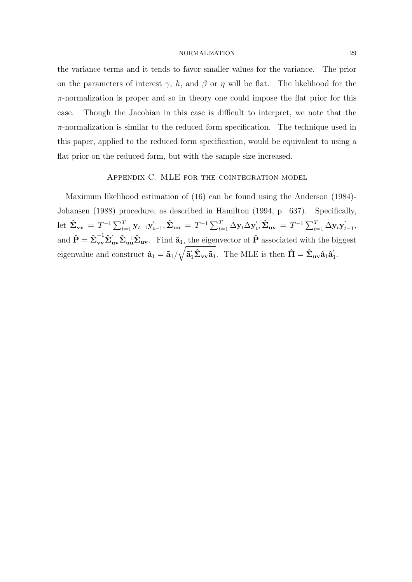the variance terms and it tends to favor smaller values for the variance. The prior on the parameters of interest  $\gamma$ , h, and  $\beta$  or  $\eta$  will be flat. The likelihood for the π-normalization is proper and so in theory one could impose the flat prior for this case. Though the Jacobian in this case is difficult to interpret, we note that the  $\pi$ -normalization is similar to the reduced form specification. The technique used in this paper, applied to the reduced form specification, would be equivalent to using a flat prior on the reduced form, but with the sample size increased.

# Appendix C. MLE for the cointegration model

Maximum likelihood estimation of (16) can be found using the Anderson (1984)- Johansen (1988) procedure, as described in Hamilton (1994, p. 637). Specifically, let  $\hat{\Sigma}_{vv} = T^{-1} \sum_{t=1}^{T} y_{t-1} y_t'$  $\hat{\Sigma}_{\mathbf{u}\mathbf{u}} = T^{-1}\sum_{t=1}^{T}\Delta\mathbf{y}_t\Delta\mathbf{y}_t'$  $t'_t$ ,  $\hat{\mathbf{\Sigma}}_{\mathbf{u}\mathbf{v}} = T^{-1} \sum_{t=1}^T \Delta \mathbf{y}_t \mathbf{y}_t'$ ,<br><sub>t−1</sub>, and  $\hat{\mathbf{P}} = \hat{\boldsymbol{\Sigma}}_{\mathbf{v}\mathbf{v}}^{-1} \hat{\boldsymbol{\Sigma}}_{\mathbf{u}\mathbf{v}} \hat{\boldsymbol{\Sigma}}_{\mathbf{u}\mathbf{v}}^{-1} \hat{\boldsymbol{\Sigma}}_{\mathbf{u}\mathbf{v}}$ . Find  $\tilde{\mathbf{a}}_1$ , the eigenvector of  $\hat{\mathbf{P}}$  associated with the biggest eigenvalue and construct  $\mathbf{\hat{a}}_1 = \mathbf{\tilde{a}}_1 /$  $\mathbf{q}_1,$  $\tilde{\mathbf{a}}_1' \hat{\boldsymbol{\Sigma}}_{\mathbf{v}\mathbf{v}} \tilde{\mathbf{a}}_1$ . The MLE is then  $\hat{\mathbf{\Pi}} = \hat{\boldsymbol{\Sigma}}_{\mathbf{u}\mathbf{v}} \hat{\mathbf{a}}_1 \hat{\mathbf{a}}_1'$ .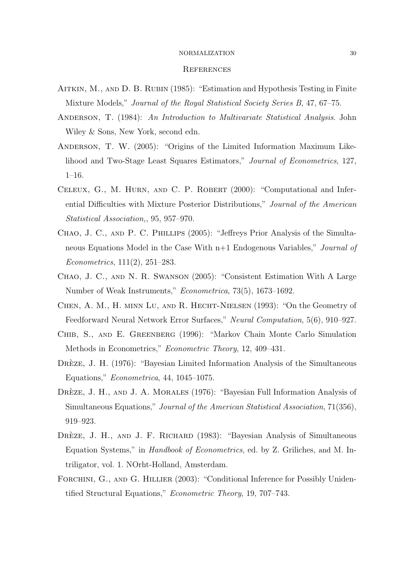#### **REFERENCES**

- Aitkin, M., and D. B. Rubin (1985): "Estimation and Hypothesis Testing in Finite Mixture Models," Journal of the Royal Statistical Society Series B, 47, 67–75.
- Anderson, T. (1984): An Introduction to Multivariate Statistical Analysis. John Wiley & Sons, New York, second edn.
- Anderson, T. W. (2005): "Origins of the Limited Information Maximum Likelihood and Two-Stage Least Squares Estimators," Journal of Econometrics, 127, 1–16.
- CELEUX, G., M. HURN, AND C. P. ROBERT (2000): "Computational and Inferential Difficulties with Mixture Posterior Distributions," Journal of the American Statistical Association,, 95, 957–970.
- Chao, J. C., and P. C. Phillips (2005): "Jeffreys Prior Analysis of the Simultaneous Equations Model in the Case With n+1 Endogenous Variables," Journal of Econometrics, 111(2), 251–283.
- Chao, J. C., and N. R. Swanson (2005): "Consistent Estimation With A Large Number of Weak Instruments," Econometrica, 73(5), 1673–1692.
- Chen, A. M., H. minn Lu, and R. Hecht-Nielsen (1993): "On the Geometry of Feedforward Neural Network Error Surfaces," Neural Computation, 5(6), 910–927.
- Chib, S., and E. Greenberg (1996): "Markov Chain Monte Carlo Simulation Methods in Econometrics," Econometric Theory, 12, 409–431.
- DREZE, J. H. (1976): "Bayesian Limited Information Analysis of the Simultaneous Equations," Econometrica, 44, 1045–1075.
- DREZE, J. H., AND J. A. MORALES (1976): "Bayesian Full Information Analysis of Simultaneous Equations," Journal of the American Statistical Association, 71(356), 919–923.
- DRÈZE, J. H., AND J. F. RICHARD (1983): "Bayesian Analysis of Simultaneous Equation Systems," in Handbook of Econometrics, ed. by Z. Griliches, and M. Intriligator, vol. 1. NOrht-Holland, Amsterdam.
- FORCHINI, G., AND G. HILLIER (2003): "Conditional Inference for Possibly Unidentified Structural Equations," Econometric Theory, 19, 707–743.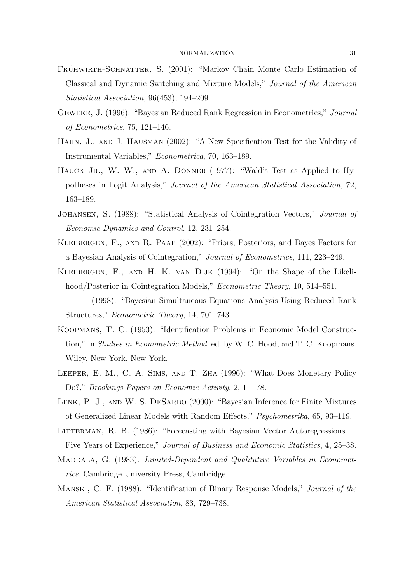- FRÜHWIRTH-SCHNATTER, S. (2001): "Markov Chain Monte Carlo Estimation of Classical and Dynamic Switching and Mixture Models," Journal of the American Statistical Association, 96(453), 194–209.
- Geweke, J. (1996): "Bayesian Reduced Rank Regression in Econometrics," Journal of Econometrics, 75, 121–146.
- Hahn, J., and J. Hausman (2002): "A New Specification Test for the Validity of Instrumental Variables," Econometrica, 70, 163–189.
- HAUCK JR., W. W., AND A. DONNER (1977): "Wald's Test as Applied to Hypotheses in Logit Analysis," Journal of the American Statistical Association, 72, 163–189.
- Johansen, S. (1988): "Statistical Analysis of Cointegration Vectors," Journal of Economic Dynamics and Control, 12, 231–254.
- Kleibergen, F., and R. Paap (2002): "Priors, Posteriors, and Bayes Factors for a Bayesian Analysis of Cointegration," Journal of Econometrics, 111, 223–249.
- Kleibergen, F., and H. K. van Dijk (1994): "On the Shape of the Likelihood/Posterior in Cointegration Models," Econometric Theory, 10, 514–551.
- (1998): "Bayesian Simultaneous Equations Analysis Using Reduced Rank Structures," Econometric Theory, 14, 701–743.
- Koopmans, T. C. (1953): "Identification Problems in Economic Model Construction," in Studies in Econometric Method, ed. by W. C. Hood, and T. C. Koopmans. Wiley, New York, New York.
- Leeper, E. M., C. A. Sims, and T. Zha (1996): "What Does Monetary Policy Do?," Brookings Papers on Economic Activity, 2, 1 – 78.
- LENK, P. J., AND W. S. DESARBO (2000): "Bayesian Inference for Finite Mixtures of Generalized Linear Models with Random Effects," Psychometrika, 65, 93–119.
- LITTERMAN, R. B. (1986): "Forecasting with Bayesian Vector Autoregressions Five Years of Experience," Journal of Business and Economic Statistics, 4, 25–38.
- MADDALA, G. (1983): Limited-Dependent and Qualitative Variables in Econometrics. Cambridge University Press, Cambridge.
- Manski, C. F. (1988): "Identification of Binary Response Models," Journal of the American Statistical Association, 83, 729–738.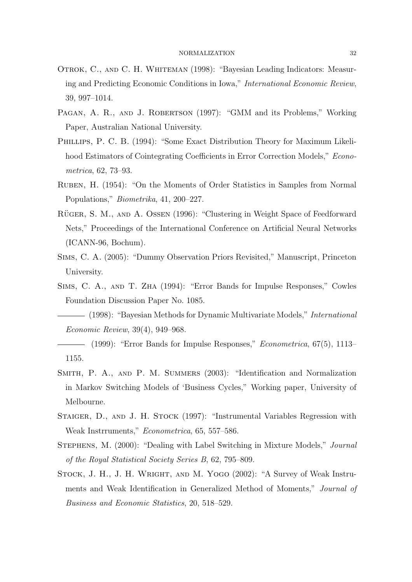- Otrok, C., and C. H. Whiteman (1998): "Bayesian Leading Indicators: Measuring and Predicting Economic Conditions in Iowa," International Economic Review, 39, 997–1014.
- PAGAN, A. R., AND J. ROBERTSON (1997): "GMM and its Problems," Working Paper, Australian National University.
- Phillips, P. C. B. (1994): "Some Exact Distribution Theory for Maximum Likelihood Estimators of Cointegrating Coefficients in Error Correction Models," Econometrica, 62, 73–93.
- Ruben, H. (1954): "On the Moments of Order Statistics in Samples from Normal Populations," Biometrika, 41, 200–227.
- RÜGER, S. M., AND A. OSSEN (1996): "Clustering in Weight Space of Feedforward Nets," Proceedings of the International Conference on Artificial Neural Networks (ICANN-96, Bochum).
- Sims, C. A. (2005): "Dummy Observation Priors Revisited," Manuscript, Princeton University.
- Sims, C. A., and T. Zha (1994): "Error Bands for Impulse Responses," Cowles Foundation Discussion Paper No. 1085.

(1998): "Bayesian Methods for Dynamic Multivariate Models," International Economic Review, 39(4), 949–968.

- SMITH, P. A., AND P. M. SUMMERS (2003): "Identification and Normalization in Markov Switching Models of 'Business Cycles," Working paper, University of Melbourne.
- Staiger, D., and J. H. Stock (1997): "Instrumental Variables Regression with Weak Instrruments," Econometrica, 65, 557–586.
- Stephens, M. (2000): "Dealing with Label Switching in Mixture Models," Journal of the Royal Statistical Society Series B, 62, 795–809.
- STOCK, J. H., J. H. WRIGHT, AND M. YOGO (2002): "A Survey of Weak Instruments and Weak Identification in Generalized Method of Moments," Journal of Business and Economic Statistics, 20, 518–529.

<sup>(1999): &</sup>quot;Error Bands for Impulse Responses," Econometrica, 67(5), 1113– 1155.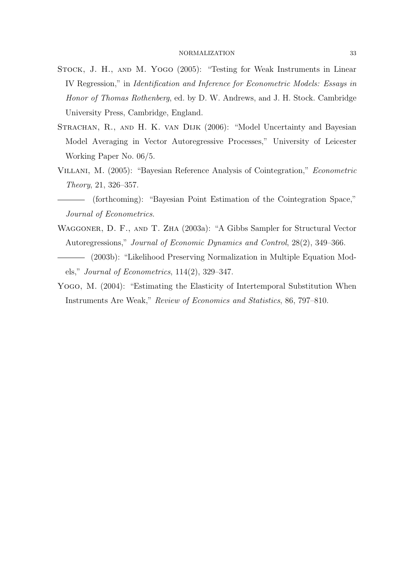- Stock, J. H., and M. Yogo (2005): "Testing for Weak Instruments in Linear IV Regression," in Identification and Inference for Econometric Models: Essays in Honor of Thomas Rothenberg, ed. by D. W. Andrews, and J. H. Stock. Cambridge University Press, Cambridge, England.
- STRACHAN, R., AND H. K. VAN DIJK (2006): "Model Uncertainty and Bayesian Model Averaging in Vector Autoregressive Processes," University of Leicester Working Paper No. 06/5.
- Villani, M. (2005): "Bayesian Reference Analysis of Cointegration," Econometric Theory, 21, 326–357.
- (forthcoming): "Bayesian Point Estimation of the Cointegration Space," Journal of Econometrics.
- Waggoner, D. F., and T. Zha (2003a): "A Gibbs Sampler for Structural Vector Autoregressions," Journal of Economic Dynamics and Control, 28(2), 349–366.
- (2003b): "Likelihood Preserving Normalization in Multiple Equation Models," Journal of Econometrics, 114(2), 329–347.
- Yogo, M. (2004): "Estimating the Elasticity of Intertemporal Substitution When Instruments Are Weak," Review of Economics and Statistics, 86, 797–810.